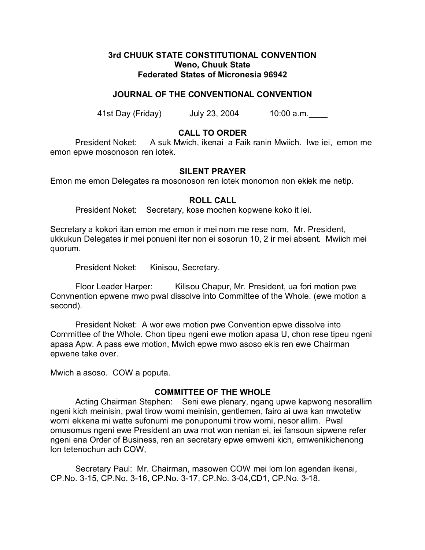## **3rd CHUUK STATE CONSTITUTIONAL CONVENTION Weno, Chuuk State Federated States of Micronesia 96942**

## **JOURNAL OF THE CONVENTIONAL CONVENTION**

41st Day (Friday) July 23, 2004 10:00 a.m.\_\_\_\_

# **CALL TO ORDER**

President Noket: A suk Mwich, ikenai a Faik ranin Mwiich. Iwe iei, emon me emon epwe mosonoson ren iotek.

## **SILENT PRAYER**

Emon me emon Delegates ra mosonoson ren iotek monomon non ekiek me netip.

### **ROLL CALL**

President Noket: Secretary, kose mochen kopwene koko it iei.

Secretary a kokori itan emon me emon ir mei nom me rese nom, Mr. President, ukkukun Delegates ir mei ponueni iter non ei sosorun 10, 2 ir mei absent. Mwiich mei quorum.

President Noket: Kinisou, Secretary.

Floor Leader Harper: Kilisou Chapur, Mr. President, ua fori motion pwe Convnention epwene mwo pwal dissolve into Committee of the Whole. (ewe motion a second).

President Noket: A wor ewe motion pwe Convention epwe dissolve into Committee of the Whole. Chon tipeu ngeni ewe motion apasa U, chon rese tipeu ngeni apasa Apw. A pass ewe motion, Mwich epwe mwo asoso ekis ren ewe Chairman epwene take over.

Mwich a asoso. COW a poputa.

## **COMMITTEE OF THE WHOLE**

Acting Chairman Stephen: Seni ewe plenary, ngang upwe kapwong nesorallim ngeni kich meinisin, pwal tirow womi meinisin, gentlemen, fairo ai uwa kan mwotetiw womi ekkena mi watte sufonumi me ponuponumi tirow womi, nesor allim. Pwal omusomus ngeni ewe President an uwa mot won nenian ei, iei fansoun sipwene refer ngeni ena Order of Business, ren an secretary epwe emweni kich, emwenikichenong lon tetenochun ach COW,

Secretary Paul: Mr. Chairman, masowen COW mei lom lon agendan ikenai, CP.No. 3-15, CP.No. 3-16, CP.No. 3-17, CP.No. 3-04,CD1, CP.No. 3-18.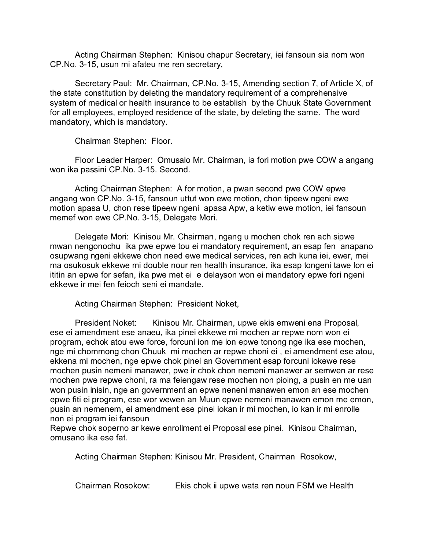Acting Chairman Stephen: Kinisou chapur Secretary, iei fansoun sia nom won CP.No. 3-15, usun mi afateu me ren secretary,

Secretary Paul: Mr. Chairman, CP.No. 3-15, Amending section 7, of Article X, of the state constitution by deleting the mandatory requirement of a comprehensive system of medical or health insurance to be establish by the Chuuk State Government for all employees, employed residence of the state, by deleting the same. The word mandatory, which is mandatory.

Chairman Stephen: Floor.

Floor Leader Harper: Omusalo Mr. Chairman, ia fori motion pwe COW a angang won ika passini CP.No. 3-15. Second.

Acting Chairman Stephen: A for motion, a pwan second pwe COW epwe angang won CP.No. 3-15, fansoun uttut won ewe motion, chon tipeew ngeni ewe motion apasa U, chon rese tipeew ngeni apasa Apw, a ketiw ewe motion, iei fansoun memef won ewe CP.No. 3-15, Delegate Mori.

Delegate Mori: Kinisou Mr. Chairman, ngang u mochen chok ren ach sipwe mwan nengonochu ika pwe epwe tou ei mandatory requirement, an esap fen anapano osupwang ngeni ekkewe chon need ewe medical services, ren ach kuna iei, ewer, mei ma osukosuk ekkewe mi double nour ren health insurance, ika esap tongeni tawe lon ei ititin an epwe for sefan, ika pwe met ei e delayson won ei mandatory epwe fori ngeni ekkewe ir mei fen feioch seni ei mandate.

Acting Chairman Stephen: President Noket,

President Noket: Kinisou Mr. Chairman, upwe ekis emweni ena Proposal, ese ei amendment ese anaeu, ika pinei ekkewe mi mochen ar repwe nom won ei program, echok atou ewe force, forcuni ion me ion epwe tonong nge ika ese mochen, nge mi chommong chon Chuuk mi mochen ar repwe choni ei , ei amendment ese atou, ekkena mi mochen, nge epwe chok pinei an Government esap forcuni iokewe rese mochen pusin nemeni manawer, pwe ir chok chon nemeni manawer ar semwen ar rese mochen pwe repwe choni, ra ma feiengaw rese mochen non pioing, a pusin en me uan won pusin inisin, nge an government an epwe neneni manawen emon an ese mochen epwe fiti ei program, ese wor wewen an Muun epwe nemeni manawen emon me emon, pusin an nemenem, ei amendment ese pinei iokan ir mi mochen, io kan ir mi enrolle non ei program iei fansoun

Repwe chok soperno ar kewe enrollment ei Proposal ese pinei. Kinisou Chairman, omusano ika ese fat.

Acting Chairman Stephen: Kinisou Mr. President, Chairman Rosokow,

Chairman Rosokow: Ekis chok ii upwe wata ren noun FSM we Health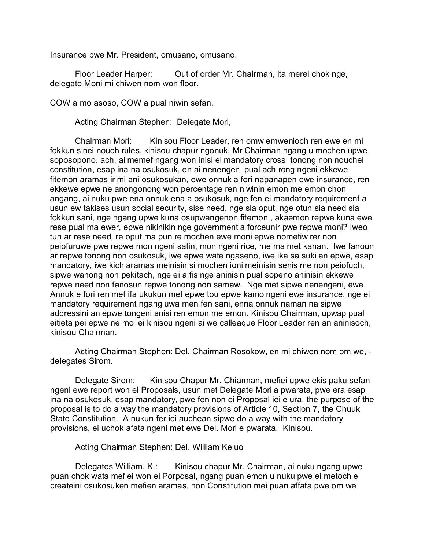Insurance pwe Mr. President, omusano, omusano.

Floor Leader Harper: Out of order Mr. Chairman, ita merei chok nge, delegate Moni mi chiwen nom won floor.

COW a mo asoso, COW a pual niwin sefan.

Acting Chairman Stephen: Delegate Mori,

Chairman Mori: Kinisou Floor Leader, ren omw emwenioch ren ewe en mi fokkun sinei nouch rules, kinisou chapur ngonuk, Mr Chairman ngang u mochen upwe soposopono, ach, ai memef ngang won inisi ei mandatory cross tonong non nouchei constitution, esap ina na osukosuk, en ai nenengeni pual ach rong ngeni ekkewe fitemon aramas ir mi ani osukosukan, ewe onnuk a fori napanapen ewe insurance, ren ekkewe epwe ne anongonong won percentage ren niwinin emon me emon chon angang, ai nuku pwe ena onnuk ena a osukosuk, nge fen ei mandatory requirement a usun ew takises usun social security, sise need, nge sia oput, nge otun sia need sia fokkun sani, nge ngang upwe kuna osupwangenon fitemon , akaemon repwe kuna ewe rese pual ma ewer, epwe nikinikin nge government a forceunir pwe repwe moni? Iweo tun ar rese need, re oput ma pun re mochen ewe moni epwe nometiw rer non peiofuruwe pwe repwe mon ngeni satin, mon ngeni rice, me ma met kanan. Iwe fanoun ar repwe tonong non osukosuk, iwe epwe wate ngaseno, iwe ika sa suki an epwe, esap mandatory, iwe kich aramas meinisin si mochen ioni meinisin senis me non peiofuch, sipwe wanong non pekitach, nge ei a fis nge aninisin pual sopeno aninisin ekkewe repwe need non fanosun repwe tonong non samaw. Nge met sipwe nenengeni, ewe Annuk e fori ren met ifa ukukun met epwe tou epwe kamo ngeni ewe insurance, nge ei mandatory requirement ngang uwa men fen sani, enna onnuk naman na sipwe addressini an epwe tongeni anisi ren emon me emon. Kinisou Chairman, upwap pual eitieta pei epwe ne mo iei kinisou ngeni ai we calleaque Floor Leader ren an aninisoch, kinisou Chairman.

Acting Chairman Stephen: Del. Chairman Rosokow, en mi chiwen nom om we, delegates Sirom.

Delegate Sirom: Kinisou Chapur Mr. Chiarman, mefiei upwe ekis paku sefan ngeni ewe report won ei Proposals, usun met Delegate Mori a pwarata, pwe era esap ina na osukosuk, esap mandatory, pwe fen non ei Proposal iei e ura, the purpose of the proposal is to do a way the mandatory provisions of Article 10, Section 7, the Chuuk State Constitution. A nukun fer iei auchean sipwe do a way with the mandatory provisions, ei uchok afata ngeni met ewe Del. Mori e pwarata. Kinisou.

Acting Chairman Stephen: Del. William Keiuo

Delegates William, K.: Kinisou chapur Mr. Chairman, ai nuku ngang upwe puan chok wata mefiei won ei Porposal, ngang puan emon u nuku pwe ei metoch e createini osukosuken mefien aramas, non Constitution mei puan affata pwe om we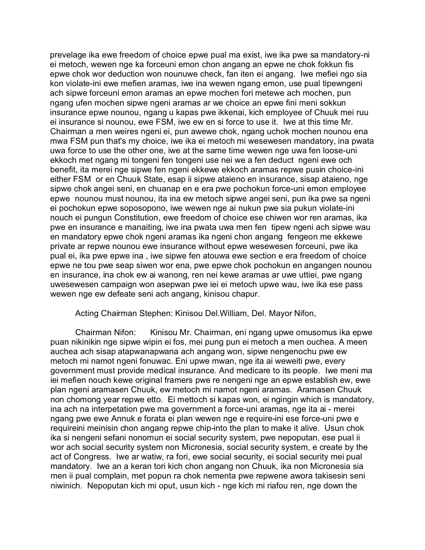prevelage ika ewe freedom of choice epwe pual ma exist, iwe ika pwe sa mandatory-ni ei metoch, wewen nge ka forceuni emon chon angang an epwe ne chok fokkun fis epwe chok wor deduction won nounuwe check, fan iten ei angang. Iwe mefiei ngo sia kon violate-ini ewe mefien aramas, iwe ina wewen ngang emon, use pual tipewngeni ach sipwe forceuni emon aramas an epwe mochen fori metewe ach mochen, pun ngang ufen mochen sipwe ngeni aramas ar we choice an epwe fini meni sokkun insurance epwe nounou, ngang u kapas pwe ikkenai, kich employee of Chuuk mei ruu ei insurance si nounou, ewe FSM, iwe ew en si force to use it. Iwe at this time Mr. Chairman a men weires ngeni ei, pun awewe chok, ngang uchok mochen nounou ena mwa FSM pun that's my choice, iwe ika ei metoch mi wesewesen mandatory, ina pwata uwa force to use the other one, iwe at the same time wewen nge uwa fen loose-uni ekkoch met ngang mi tongeni fen tongeni use nei we a fen deduct ngeni ewe och benefit, ita merei nge sipwe fen ngeni ekkewe ekkoch aramas repwe pusin choice-ini either FSM or en Chuuk State, esap ii sipwe ataieno en insurance, sisap ataieno, nge sipwe chok angei seni, en chuanap en e era pwe pochokun force-uni emon employee epwe nounou must nounou, ita ina ew metoch sipwe angei seni, pun ika pwe sa ngeni ei pochokun epwe soposopono, iwe wewen nge ai nukun pwe sia pukun violate-ini nouch ei pungun Constitution, ewe freedom of choice ese chiwen wor ren aramas, ika pwe en insurance e manaiting, iwe ina pwata uwa men fen tipew ngeni ach sipwe wau en mandatory epwe chok ngeni aramas ika ngeni chon angang fengeon me ekkewe private ar repwe nounou ewe insurance without epwe wesewesen forceuni, pwe ika pual ei, ika pwe epwe ina , iwe sipwe fen atouwa ewe section e era freedom of choice epwe ne tou pwe seap siwen wor ena, pwe epwe chok pochokun en angangen nounou en insurance, ina chok ew ai wanong, ren nei kewe aramas ar uwe uttiei, pwe ngang uwesewesen campaign won asepwan pwe iei ei metoch upwe wau, iwe ika ese pass wewen nge ew defeate seni ach angang, kinisou chapur.

### Acting Chairman Stephen: Kinisou Del.William, Del. Mayor Nifon,

Chairman Nifon: Kinisou Mr. Chairman, eni ngang upwe omusomus ika epwe puan nikinikin nge sipwe wipin ei fos, mei pung pun ei metoch a men ouchea. A meen auchea ach sisap atapwanapwana ach angang won, sipwe nengenochu pwe ew metoch mi namot ngeni fonuwac. Eni upwe mwan, nge ita ai weweiti pwe, every government must provide medical insurance. And medicare to its people. Iwe meni ma iei mefien nouch kewe original framers pwe re nengeni nge an epwe establish ew, ewe plan ngeni aramasen Chuuk, ew metoch mi namot ngeni aramas. Aramasen Chuuk non chomong year repwe etto. Ei mettoch si kapas won, ei ngingin which is mandatory, ina ach na interpetation pwe ma government a force-uni aramas, nge ita ai - merei ngang pwe ewe Annuk e forata ei plan wewen nge e require-ini ese force-uni pwe e requireini meinisin chon angang repwe chip-into the plan to make it alive. Usun chok ika si nengeni sefani nonomun ei social security system, pwe nepoputan, ese pual ii wor ach social security system non Micronesia, social security system, e create by the act of Congress. Iwe ar watiw, ra fori, ewe social security, ei social security mei pual mandatory. Iwe an a keran tori kich chon angang non Chuuk, ika non Micronesia sia men ii pual complain, met popun ra chok nementa pwe repwene awora takisesin seni niwinich. Nepoputan kich mi oput, usun kich - nge kich mi riafou ren, nge down the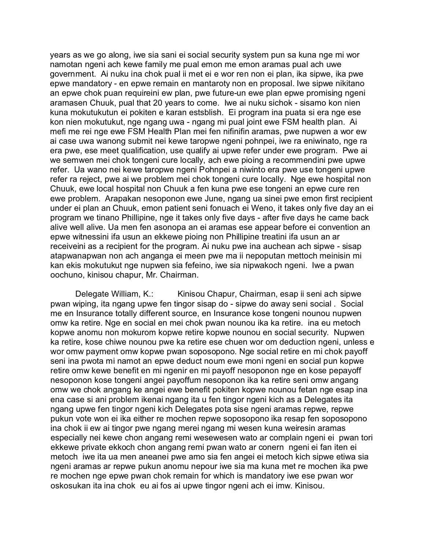years as we go along, iwe sia sani ei social security system pun sa kuna nge mi wor namotan ngeni ach kewe family me pual emon me emon aramas pual ach uwe government. Ai nuku ina chok pual ii met ei e wor ren non ei plan, ika sipwe, ika pwe epwe mandatory - en epwe remain en mantaroty non en proposal. Iwe sipwe nikitano an epwe chok puan requireini ew plan, pwe future-un ewe plan epwe promising ngeni aramasen Chuuk, pual that 20 years to come. Iwe ai nuku sichok - sisamo kon nien kuna mokutukutun ei pokiten e karan estsblish. Ei program ina puata si era nge ese kon nien mokutukut, nge ngang uwa - ngang mi pual joint ewe FSM health plan. Ai mefi me rei nge ewe FSM Health Plan mei fen nifinifin aramas, pwe nupwen a wor ew ai case uwa wanong submit nei kewe taropwe ngeni pohnpei, iwe ra eniwinato, nge ra era pwe, ese meet qualification, use qualify ai upwe refer under ewe program. Pwe ai we semwen mei chok tongeni cure locally, ach ewe pioing a recommendini pwe upwe refer. Ua wano nei kewe taropwe ngeni Pohnpei a niwinto era pwe use tongeni upwe refer ra reject, pwe ai we problem mei chok tongeni cure locally. Nge ewe hospital non Chuuk, ewe local hospital non Chuuk a fen kuna pwe ese tongeni an epwe cure ren ewe problem. Arapakan nesoponon ewe June, ngang ua sinei pwe emon first recipient under ei plan an Chuuk, emon patient seni fonuach ei Weno, it takes only five day an ei program we tinano Phillipine, nge it takes only five days - after five days he came back alive well alive. Ua men fen asonopa an ei aramas ese appear before ei convention an epwe witnessini ifa usun an ekkewe pioing non Phillipine treatini ifa usun an ar receiveini as a recipient for the program. Ai nuku pwe ina auchean ach sipwe - sisap atapwanapwan non ach anganga ei meen pwe ma ii nepoputan mettoch meinisin mi kan ekis mokutukut nge nupwen sia fefeino, iwe sia nipwakoch ngeni. Iwe a pwan oochuno, kinisou chapur, Mr. Chairman.

Delegate William, K.: Kinisou Chapur, Chairman, esap ii seni ach sipwe pwan wiping, ita ngang upwe fen tingor sisap do - sipwe do away seni social . Social me en Insurance totally different source, en Insurance kose tongeni nounou nupwen omw ka retire. Nge en social en mei chok pwan nounou ika ka retire. ina eu metoch kopwe anomu non mokurom kopwe retire kopwe nounou en social security. Nupwen ka retire, kose chiwe nounou pwe ka retire ese chuen wor om deduction ngeni, unless e wor omw payment omw kopwe pwan soposopono. Nge social retire en mi chok payoff seni ina pwota mi namot an epwe deduct noum ewe moni ngeni en social pun kopwe retire omw kewe benefit en mi ngenir en mi payoff nesoponon nge en kose pepayoff nesoponon kose tongeni angei payoffum nesoponon ika ka retire seni omw angang omw we chok angang ke angei ewe benefit pokiten kopwe nounou fetan nge esap ina ena case si ani problem ikenai ngang ita u fen tingor ngeni kich as a Delegates ita ngang upwe fen tingor ngeni kich Delegates pota sise ngeni aramas repwe, repwe pukun vote won ei ika either re mochen repwe soposopono ika resap fen soposopono ina chok ii ew ai tingor pwe ngang merei ngang mi wesen kuna weiresin aramas especially nei kewe chon angang remi wesewesen wato ar complain ngeni ei pwan tori ekkewe private ekkoch chon angang remi pwan wato ar conern ngeni ei fan iten ei metoch iwe ita ua men aneanei pwe amo sia fen angei ei metoch kich sipwe etiwa sia ngeni aramas ar repwe pukun anomu nepour iwe sia ma kuna met re mochen ika pwe re mochen nge epwe pwan chok remain for which is mandatory iwe ese pwan wor oskosukan ita ina chok eu ai fos ai upwe tingor ngeni ach ei imw. Kinisou.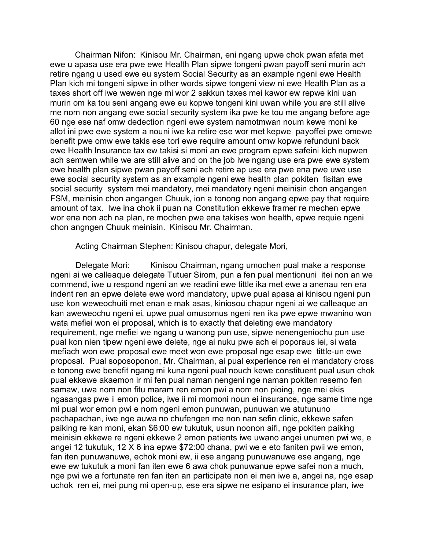Chairman Nifon: Kinisou Mr. Chairman, eni ngang upwe chok pwan afata met ewe u apasa use era pwe ewe Health Plan sipwe tongeni pwan payoff seni murin ach retire ngang u used ewe eu system Social Security as an example ngeni ewe Health Plan kich mi tongeni sipwe in other words sipwe tongeni view ni ewe Health Plan as a taxes short off iwe wewen nge mi wor 2 sakkun taxes mei kawor ew repwe kini uan murin om ka tou seni angang ewe eu kopwe tongeni kini uwan while you are still alive me nom non angang ewe social security system ika pwe ke tou me angang before age 60 nge ese naf omw dedection ngeni ewe system namotmwan noum kewe moni ke allot ini pwe ewe system a nouni iwe ka retire ese wor met kepwe payoffei pwe omewe benefit pwe omw ewe takis ese tori ewe require amount omw kopwe refunduni back ewe Health Insurance tax ew takisi si moni an ewe program epwe safeini kich nupwen ach semwen while we are still alive and on the job iwe ngang use era pwe ewe system ewe health plan sipwe pwan payoff seni ach retire ap use era pwe ena pwe uwe use ewe social security system as an example ngeni ewe health plan pokiten fisitan ewe social security system mei mandatory, mei mandatory ngeni meinisin chon angangen FSM, meinisin chon angangen Chuuk, ion a tonong non angang epwe pay that require amount of tax. Iwe ina chok ii puan na Constitution ekkewe framer re mechen epwe wor ena non ach na plan, re mochen pwe ena takises won health, epwe requie ngeni chon angngen Chuuk meinisin. Kinisou Mr. Chairman.

Acting Chairman Stephen: Kinisou chapur, delegate Mori,

Delegate Mori: Kinisou Chairman, ngang umochen pual make a response ngeni ai we calleaque delegate Tutuer Sirom, pun a fen pual mentionuni itei non an we commend, iwe u respond ngeni an we readini ewe tittle ika met ewe a anenau ren era indent ren an epwe delete ewe word mandatory, upwe pual apasa ai kinisou ngeni pun use kon weweochuiti met enan e mak asas, kiniosou chapur ngeni ai we calleaque an kan aweweochu ngeni ei, upwe pual omusomus ngeni ren ika pwe epwe mwanino won wata mefiei won ei proposal, which is to exactly that deleting ewe mandatory requirement, nge mefiei we ngang u wanong pun use, sipwe nenengeniochu pun use pual kon nien tipew ngeni ewe delete, nge ai nuku pwe ach ei poporaus iei, si wata mefiach won ewe proposal ewe meet won ewe proposal nge esap ewe tittle-un ewe proposal. Pual soposoponon, Mr. Chairman, ai pual experience ren ei mandatory cross e tonong ewe benefit ngang mi kuna ngeni pual nouch kewe constituent pual usun chok pual ekkewe akaemon ir mi fen pual naman nengeni nge naman pokiten resemo fen samaw, uwa nom non fitu maram ren emon pwi a nom non pioing, nge mei ekis ngasangas pwe ii emon police, iwe ii mi momoni noun ei insurance, nge same time nge mi pual wor emon pwi e nom ngeni emon punuwan, punuwan we atutununo pachapachan, iwe nge auwa no chufengen me non nan sefin clinic, ekkewe safen paiking re kan moni, ekan \$6:00 ew tukutuk, usun noonon aifi, nge pokiten paiking meinisin ekkewe re ngeni ekkewe 2 emon patients iwe uwano angei unumen pwi we, e angei 12 tukutuk, 12 X 6 ina epwe \$72:00 chana, pwi we e eto faniten pwii we emon, fan iten punuwanuwe, echok moni ew, ii ese angang punuwanuwe ese angang, nge ewe ew tukutuk a moni fan iten ewe 6 awa chok punuwanue epwe safei non a much, nge pwi we a fortunate ren fan iten an participate non ei men iwe a, angei na, nge esap uchok ren ei, mei pung mi open-up, ese era sipwe ne esipano ei insurance plan, iwe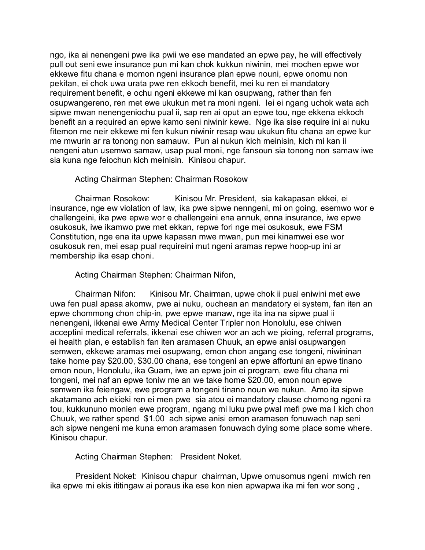ngo, ika ai nenengeni pwe ika pwii we ese mandated an epwe pay, he will effectively pull out seni ewe insurance pun mi kan chok kukkun niwinin, mei mochen epwe wor ekkewe fitu chana e momon ngeni insurance plan epwe nouni, epwe onomu non pekitan, ei chok uwa urata pwe ren ekkoch benefit, mei ku ren ei mandatory requirement benefit, e ochu ngeni ekkewe mi kan osupwang, rather than fen osupwangereno, ren met ewe ukukun met ra moni ngeni. Iei ei ngang uchok wata ach sipwe mwan nenengeniochu pual ii, sap ren ai oput an epwe tou, nge ekkena ekkoch benefit an a required an epwe kamo seni niwinir kewe. Nge ika sise require ini ai nuku fitemon me neir ekkewe mi fen kukun niwinir resap wau ukukun fitu chana an epwe kur me mwurin ar ra tonong non samauw. Pun ai nukun kich meinisin, kich mi kan ii nengeni atun usemwo samaw, usap pual moni, nge fansoun sia tonong non samaw iwe sia kuna nge feiochun kich meinisin. Kinisou chapur.

### Acting Chairman Stephen: Chairman Rosokow

Chairman Rosokow: Kinisou Mr. President, sia kakapasan ekkei, ei insurance, nge ew violation of law, ika pwe sipwe nenngeni, mi on going, esemwo wor e challengeini, ika pwe epwe wor e challengeini ena annuk, enna insurance, iwe epwe osukosuk, iwe ikamwo pwe met ekkan, repwe fori nge mei osukosuk, ewe FSM Constitution, nge ena ita upwe kapasan mwe mwan, pun mei kinamwei ese wor osukosuk ren, mei esap pual requireini mut ngeni aramas repwe hoop-up ini ar membership ika esap choni.

#### Acting Chairman Stephen: Chairman Nifon,

Chairman Nifon: Kinisou Mr. Chairman, upwe chok ii pual eniwini met ewe uwa fen pual apasa akomw, pwe ai nuku, ouchean an mandatory ei system, fan iten an epwe chommong chon chip-in, pwe epwe manaw, nge ita ina na sipwe pual ii nenengeni, ikkenai ewe Army Medical Center Tripler non Honolulu, ese chiwen acceptini medical referrals, ikkenai ese chiwen wor an ach we pioing, referral programs, ei health plan, e establish fan iten aramasen Chuuk, an epwe anisi osupwangen semwen, ekkewe aramas mei osupwang, emon chon angang ese tongeni, niwininan take home pay \$20.00, \$30.00 chana, ese tongeni an epwe affortuni an epwe tinano emon noun, Honolulu, ika Guam, iwe an epwe join ei program, ewe fitu chana mi tongeni, mei naf an epwe toniw me an we take home \$20.00, emon noun epwe semwen ika feiengaw, ewe program a tongeni tinano noun we nukun. Amo ita sipwe akatamano ach ekieki ren ei men pwe sia atou ei mandatory clause chomong ngeni ra tou, kukkununo monien ewe program, ngang mi luku pwe pwal mefi pwe ma I kich chon Chuuk, we rather spend \$1.00 ach sipwe anisi emon aramasen fonuwach nap seni ach sipwe nengeni me kuna emon aramasen fonuwach dying some place some where. Kinisou chapur.

Acting Chairman Stephen: President Noket.

President Noket: Kinisou chapur chairman, Upwe omusomus ngeni mwich ren ika epwe mi ekis ititingaw ai poraus ika ese kon nien apwapwa ika mi fen wor song ,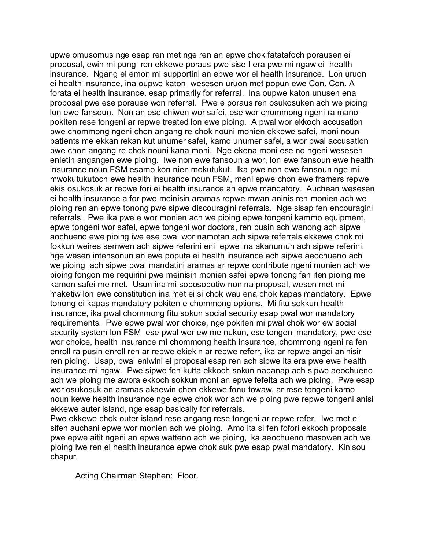upwe omusomus nge esap ren met nge ren an epwe chok fatatafoch porausen ei proposal, ewin mi pung ren ekkewe poraus pwe sise I era pwe mi ngaw ei health insurance. Ngang ei emon mi supportini an epwe wor ei health insurance. Lon uruon ei health insurance, ina oupwe katon wesesen uruon met popun ewe Con. Con. A forata ei health insurance, esap primarily for referral. Ina oupwe katon unusen ena proposal pwe ese porause won referral. Pwe e poraus ren osukosuken ach we pioing lon ewe fansoun. Non an ese chiwen wor safei, ese wor chommong ngeni ra mano pokiten rese tongeni ar repwe treated lon ewe pioing. A pwal wor ekkoch accusation pwe chommong ngeni chon angang re chok nouni monien ekkewe safei, moni noun patients me ekkan rekan kut unumer safei, kamo unumer safei, a wor pwal accusation pwe chon angang re chok nouni kana moni. Nge ekena moni ese no ngeni wesesen enletin angangen ewe pioing. Iwe non ewe fansoun a wor, lon ewe fansoun ewe health insurance noun FSM esamo kon nien mokutukut. Ika pwe non ewe fansoun nge mi mwokutukutoch ewe health insurance noun FSM, meni epwe chon ewe framers repwe ekis osukosuk ar repwe fori ei health insurance an epwe mandatory. Auchean wesesen ei health insurance a for pwe meinisin aramas repwe mwan aninis ren monien ach we pioing ren an epwe tonong pwe sipwe discouragini referrals. Nge sisap fen encouragini referrals. Pwe ika pwe e wor monien ach we pioing epwe tongeni kammo equipment, epwe tongeni wor safei, epwe tongeni wor doctors, ren pusin ach wanong ach sipwe aochueno ewe pioing iwe ese pwal wor namotan ach sipwe referrals ekkewe chok mi fokkun weires semwen ach sipwe referini eni epwe ina akanumun ach sipwe referini, nge wesen intensonun an ewe poputa ei health insurance ach sipwe aeochueno ach we pioing ach sipwe pwal mandatini aramas ar repwe contribute ngeni monien ach we pioing fongon me requirini pwe meinisin monien safei epwe tonong fan iten pioing me kamon safei me met. Usun ina mi soposopotiw non na proposal, wesen met mi maketiw lon ewe constitution ina met ei si chok wau ena chok kapas mandatory. Epwe tonong ei kapas mandatory pokiten e chommong options. Mi fitu sokkun health insurance, ika pwal chommong fitu sokun social security esap pwal wor mandatory requirements. Pwe epwe pwal wor choice, nge pokiten mi pwal chok wor ew social security system lon FSM ese pwal wor ew me nukun, ese tongeni mandatory, pwe ese wor choice, health insurance mi chommong health insurance, chommong ngeni ra fen enroll ra pusin enroll ren ar repwe ekiekin ar repwe referr, ika ar repwe angei aninisir ren pioing. Usap, pwal eniwini ei proposal esap ren ach sipwe ita era pwe ewe health insurance mi ngaw. Pwe sipwe fen kutta ekkoch sokun napanap ach sipwe aeochueno ach we pioing me awora ekkoch sokkun moni an epwe fefeita ach we pioing. Pwe esap wor osukosuk an aramas akaewin chon ekkewe fonu towaw, ar rese tongeni kamo noun kewe health insurance nge epwe chok wor ach we pioing pwe repwe tongeni anisi ekkewe auter island, nge esap basically for referrals.

Pwe ekkewe chok outer island rese angang rese tongeni ar repwe refer. Iwe met ei sifen auchani epwe wor monien ach we pioing. Amo ita si fen fofori ekkoch proposals pwe epwe aitit ngeni an epwe watteno ach we pioing, ika aeochueno masowen ach we pioing iwe ren ei health insurance epwe chok suk pwe esap pwal mandatory. Kinisou chapur.

Acting Chairman Stephen: Floor.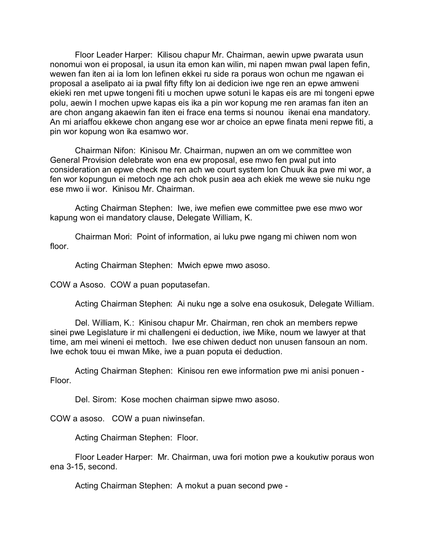Floor Leader Harper: Kilisou chapur Mr. Chairman, aewin upwe pwarata usun nonomui won ei proposal, ia usun ita emon kan wilin, mi napen mwan pwal lapen fefin, wewen fan iten ai ia lom lon lefinen ekkei ru side ra poraus won ochun me ngawan ei proposal a aselipato ai ia pwal fifty fifty lon ai dedicion iwe nge ren an epwe amweni ekieki ren met upwe tongeni fiti u mochen upwe sotuni le kapas eis are mi tongeni epwe polu, aewin I mochen upwe kapas eis ika a pin wor kopung me ren aramas fan iten an are chon angang akaewin fan iten ei frace ena terms si nounou ikenai ena mandatory. An mi ariaffou ekkewe chon angang ese wor ar choice an epwe finata meni repwe fiti, a pin wor kopung won ika esamwo wor.

Chairman Nifon: Kinisou Mr. Chairman, nupwen an om we committee won General Provision delebrate won ena ew proposal, ese mwo fen pwal put into consideration an epwe check me ren ach we court system lon Chuuk ika pwe mi wor, a fen wor kopungun ei metoch nge ach chok pusin aea ach ekiek me wewe sie nuku nge ese mwo ii wor. Kinisou Mr. Chairman.

Acting Chairman Stephen: Iwe, iwe mefien ewe committee pwe ese mwo wor kapung won ei mandatory clause, Delegate William, K.

Chairman Mori: Point of information, ai luku pwe ngang mi chiwen nom won floor.

Acting Chairman Stephen: Mwich epwe mwo asoso.

COW a Asoso. COW a puan poputasefan.

Acting Chairman Stephen: Ai nuku nge a solve ena osukosuk, Delegate William.

Del. William, K.: Kinisou chapur Mr. Chairman, ren chok an members repwe sinei pwe Legislature ir mi challengeni ei deduction, iwe Mike, noum we lawyer at that time, am mei wineni ei mettoch. Iwe ese chiwen deduct non unusen fansoun an nom. Iwe echok touu ei mwan Mike, iwe a puan poputa ei deduction.

Acting Chairman Stephen: Kinisou ren ewe information pwe mi anisi ponuen - Floor.

Del. Sirom: Kose mochen chairman sipwe mwo asoso.

COW a asoso. COW a puan niwinsefan.

Acting Chairman Stephen: Floor.

Floor Leader Harper: Mr. Chairman, uwa fori motion pwe a koukutiw poraus won ena 3-15, second.

Acting Chairman Stephen: A mokut a puan second pwe -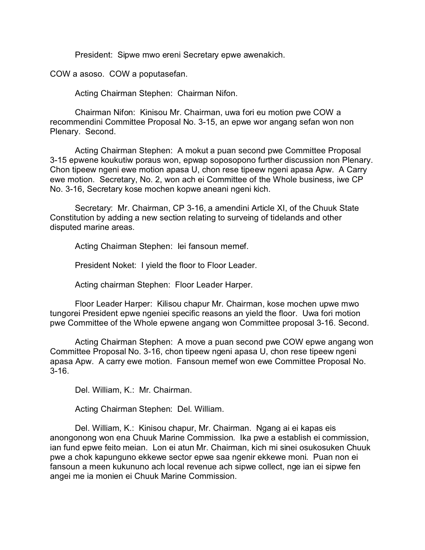President: Sipwe mwo ereni Secretary epwe awenakich.

COW a asoso. COW a poputasefan.

Acting Chairman Stephen: Chairman Nifon.

Chairman Nifon: Kinisou Mr. Chairman, uwa fori eu motion pwe COW a recommendini Committee Proposal No. 3-15, an epwe wor angang sefan won non Plenary. Second.

Acting Chairman Stephen: A mokut a puan second pwe Committee Proposal 3-15 epwene koukutiw poraus won, epwap soposopono further discussion non Plenary. Chon tipeew ngeni ewe motion apasa U, chon rese tipeew ngeni apasa Apw. A Carry ewe motion. Secretary, No. 2, won ach ei Committee of the Whole business, iwe CP No. 3-16, Secretary kose mochen kopwe aneani ngeni kich.

Secretary: Mr. Chairman, CP 3-16, a amendini Article XI, of the Chuuk State Constitution by adding a new section relating to surveing of tidelands and other disputed marine areas.

Acting Chairman Stephen: Iei fansoun memef.

President Noket: I yield the floor to Floor Leader.

Acting chairman Stephen: Floor Leader Harper.

Floor Leader Harper: Kilisou chapur Mr. Chairman, kose mochen upwe mwo tungorei President epwe ngeniei specific reasons an yield the floor. Uwa fori motion pwe Committee of the Whole epwene angang won Committee proposal 3-16. Second.

Acting Chairman Stephen: A move a puan second pwe COW epwe angang won Committee Proposal No. 3-16, chon tipeew ngeni apasa U, chon rese tipeew ngeni apasa Apw. A carry ewe motion. Fansoun memef won ewe Committee Proposal No. 3-16.

Del. William, K.: Mr. Chairman.

Acting Chairman Stephen: Del. William.

Del. William, K.: Kinisou chapur, Mr. Chairman. Ngang ai ei kapas eis anongonong won ena Chuuk Marine Commission. Ika pwe a establish ei commission, ian fund epwe feito meian. Lon ei atun Mr. Chairman, kich mi sinei osukosuken Chuuk pwe a chok kapunguno ekkewe sector epwe saa ngenir ekkewe moni. Puan non ei fansoun a meen kukununo ach local revenue ach sipwe collect, nge ian ei sipwe fen angei me ia monien ei Chuuk Marine Commission.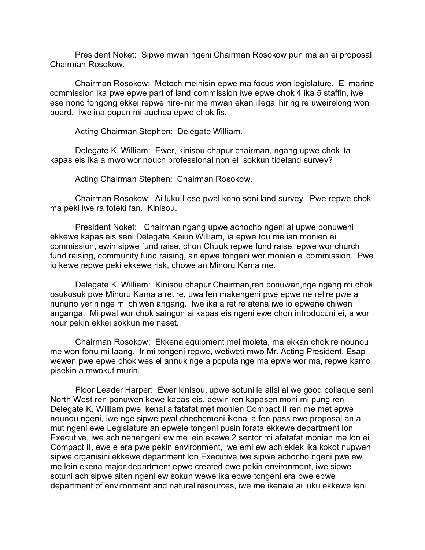President Noket: Sipwe mwan ngeni Chairman Rosokow pun ma an ei proposal. Chairman Rosokow.

Chairman Rosokow: Metoch meinisin epwe ma focus won legislature. Ei marine commission ika pwe epwe part of land commission iwe epwe chok 4 ika 5 staffin, iwe ese nono fongong ekkei repwe hire-inir me mwan ekan illegal hiring re uweirelong won board. Iwe ina popun mi auchea epwe chok fis.

Acting Chairman Stephen: Delegate William.

Delegate K. William: Ewer, kinisou chapur chairman, ngang upwe chok ita kapas eis ika a mwo wor nouch professional non ei sokkun tideland survey?

Acting Chairman Stephen: Chairman Rosokow.

Chairman Rosokow: Ai luku I ese pwal kono seni land survey. Pwe repwe chok ma peki iwe ra foteki fan. Kinisou.

President Noket: Chairman ngang upwe achocho ngeni ai upwe ponuweni ekkewe kapas eis seni Delegate Keiuo William, ia epwe tou me ian monien ei commission, ewin sipwe fund raise, chon Chuuk repwe fund raise, epwe wor church fund raising, community fund raising, an epwe tongeni wor monien ei commission. Pwe io kewe repwe peki ekkewe risk, chowe an Minoru Kama me.

Delegate K. William: Kinisou chapur Chairman,ren ponuwan,nge ngang mi chok osukosuk pwe Minoru Kama a retire, uwa fen makengeni pwe epwe ne retire pwe a nununo yerin nge mi chiwen angang. Iwe ika a retire atena iwe io epwene chiwen anganga. Mi pwal wor chok saingon ai kapas eis ngeni ewe chon introducuni ei, a wor nour pekin ekkei sokkun me neset.

Chairman Rosokow: Ekkena equipment mei moleta, ma ekkan chok re nounou me won fonu mi laang. Ir mi tongeni repwe, wetiweti mwo Mr. Acting President, Esap wewen pwe epwe chok wes ei annuk nge a poputa nge ma epwe wor ma, repwe kamo pisekin a mwokut murin.

Floor Leader Harper: Ewer kinisou, upwe sotuni le alisi ai we good collaque seni North West ren ponuwen kewe kapas eis, aewin ren kapasen moni mi pung ren Delegate K. William pwe ikenai a fatafat met monien Compact II ren me met epwe nounou ngeni, iwe nge sipwe pwal chechemeni ikenai a fen pass ewe proposal an a mut ngeni ewe Legislature an epwele tongeni pusin forata ekkewe department lon Executive, iwe ach nenengeni ew me lein ekewe 2 sector mi afatafat monian me lon ei Compact II, ewe e era pwe pekin environment, iwe emi ew ach ekiek ika kokot nupwen sipwe organisini ekkewe department lon Executive iwe sipwe achocho ngeni pwe ew me lein ekena major department epwe created ewe pekin environment, iwe sipwe sotuni ach sipwe aiten ngeni ew sokun wewe ika epwe tongeni era pwe epwe department of environment and natural resources, iwe me ikenaie ai luku ekkewe leni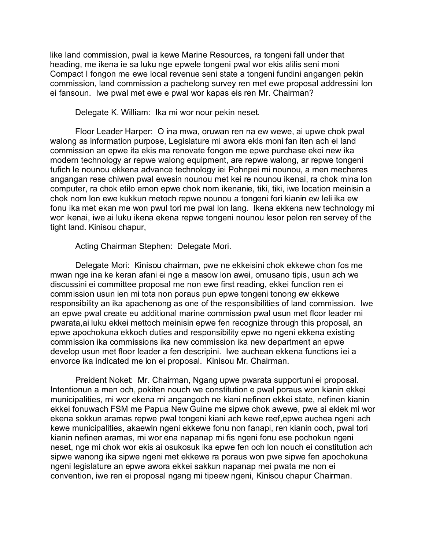like land commission, pwal ia kewe Marine Resources, ra tongeni fall under that heading, me ikena ie sa luku nge epwele tongeni pwal wor ekis alilis seni moni Compact I fongon me ewe local revenue seni state a tongeni fundini angangen pekin commission, land commission a pachelong survey ren met ewe proposal addressini lon ei fansoun. Iwe pwal met ewe e pwal wor kapas eis ren Mr. Chairman?

Delegate K. William: Ika mi wor nour pekin neset.

Floor Leader Harper: O ina mwa, oruwan ren na ew wewe, ai upwe chok pwal walong as information purpose, Legislature mi awora ekis moni fan iten ach ei land commission an epwe ita ekis ma renovate fongon me epwe purchase ekei new ika modern technology ar repwe walong equipment, are repwe walong, ar repwe tongeni tufich le nounou ekkena advance technology iei Pohnpei mi nounou, a men mecheres angangan rese chiwen pwal ewesin nounou met kei re nounou ikenai, ra chok mina lon computer, ra chok etilo emon epwe chok nom ikenanie, tiki, tiki, iwe location meinisin a chok nom lon ewe kukkun metoch repwe nounou a tongeni fori kianin ew leli ika ew fonu ika met ekan me won pwul tori me pwal lon lang. Ikena ekkena new technology mi wor ikenai, iwe ai luku ikena ekena repwe tongeni nounou lesor pelon ren servey of the tight land. Kinisou chapur,

Acting Chairman Stephen: Delegate Mori.

Delegate Mori: Kinisou chairman, pwe ne ekkeisini chok ekkewe chon fos me mwan nge ina ke keran afani ei nge a masow lon awei, omusano tipis, usun ach we discussini ei committee proposal me non ewe first reading, ekkei function ren ei commission usun ien mi tota non poraus pun epwe tongeni tonong ew ekkewe responsibility an ika apachenong as one of the responsibilities of land commission. Iwe an epwe pwal create eu additional marine commission pwal usun met floor leader mi pwarata,ai luku ekkei mettoch meinisin epwe fen recognize through this proposal, an epwe apochokuna ekkoch duties and responsibility epwe no ngeni ekkena existing commission ika commissions ika new commission ika new department an epwe develop usun met floor leader a fen descripini. Iwe auchean ekkena functions iei a envorce ika indicated me lon ei proposal. Kinisou Mr. Chairman.

Preident Noket: Mr. Chairman, Ngang upwe pwarata supportuni ei proposal. Intentionun a men och, pokiten nouch we constitution e pwal poraus won kianin ekkei municipalities, mi wor ekena mi angangoch ne kiani nefinen ekkei state, nefinen kianin ekkei fonuwach FSM me Papua New Guine me sipwe chok awewe, pwe ai ekiek mi wor ekena sokkun aramas repwe pwal tongeni kiani ach kewe reef,epwe auchea ngeni ach kewe municipalities, akaewin ngeni ekkewe fonu non fanapi, ren kianin ooch, pwal tori kianin nefinen aramas, mi wor ena napanap mi fis ngeni fonu ese pochokun ngeni neset, nge mi chok wor ekis ai osukosuk ika epwe fen och lon nouch ei constitution ach sipwe wanong ika sipwe ngeni met ekkewe ra poraus won pwe sipwe fen apochokuna ngeni legislature an epwe awora ekkei sakkun napanap mei pwata me non ei convention, iwe ren ei proposal ngang mi tipeew ngeni, Kinisou chapur Chairman.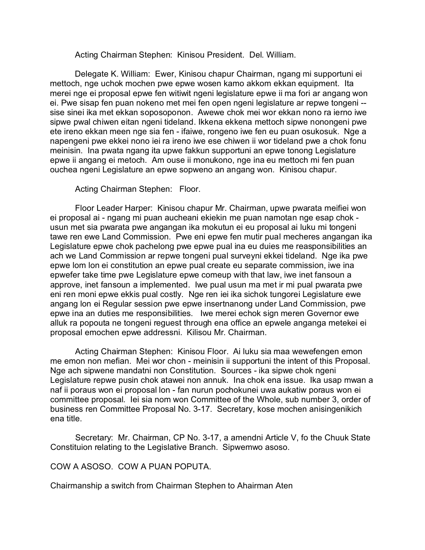Acting Chairman Stephen: Kinisou President. Del. William.

Delegate K. William: Ewer, Kinisou chapur Chairman, ngang mi supportuni ei mettoch, nge uchok mochen pwe epwe wosen kamo akkom ekkan equipment. Ita merei nge ei proposal epwe fen witiwit ngeni legislature epwe ii ma fori ar angang won ei. Pwe sisap fen puan nokeno met mei fen open ngeni legislature ar repwe tongeni - sise sinei ika met ekkan soposoponon. Awewe chok mei wor ekkan nono ra ierno iwe sipwe pwal chiwen eitan ngeni tideland. Ikkena ekkena mettoch sipwe nonongeni pwe ete ireno ekkan meen nge sia fen - ifaiwe, rongeno iwe fen eu puan osukosuk. Nge a napengeni pwe ekkei nono iei ra ireno iwe ese chiwen ii wor tideland pwe a chok fonu meinisin. Ina pwata ngang ita upwe fakkun supportuni an epwe tonong Legislature epwe ii angang ei metoch. Am ouse ii monukono, nge ina eu mettoch mi fen puan ouchea ngeni Legislature an epwe sopweno an angang won. Kinisou chapur.

Acting Chairman Stephen: Floor.

Floor Leader Harper: Kinisou chapur Mr. Chairman, upwe pwarata meifiei won ei proposal ai - ngang mi puan aucheani ekiekin me puan namotan nge esap chok usun met sia pwarata pwe angangan ika mokutun ei eu proposal ai luku mi tongeni tawe ren ewe Land Commission. Pwe eni epwe fen mutir pual mecheres angangan ika Legislature epwe chok pachelong pwe epwe pual ina eu duies me reasponsibilities an ach we Land Commission ar repwe tongeni pual surveyni ekkei tideland. Nge ika pwe epwe lom lon ei constitution an epwe pual create eu separate commission, iwe ina epwefer take time pwe Legislature epwe comeup with that law, iwe inet fansoun a approve, inet fansoun a implemented. Iwe pual usun ma met ir mi pual pwarata pwe eni ren moni epwe ekkis pual costly. Nge ren iei ika sichok tungorei Legislature ewe angang lon ei Regular session pwe epwe insertnanong under Land Commission, pwe epwe ina an duties me responsibilities. Iwe merei echok sign meren Governor ewe alluk ra popouta ne tongeni reguest through ena office an epwele anganga metekei ei proposal emochen epwe addressni. Kilisou Mr. Chairman.

Acting Chairman Stephen: Kinisou Floor. Ai luku sia maa wewefengen emon me emon non mefian. Mei wor chon - meinisin ii supportuni the intent of this Proposal. Nge ach sipwene mandatni non Constitution. Sources - ika sipwe chok ngeni Legislature repwe pusin chok atawei non annuk. Ina chok ena issue. Ika usap mwan a naf ii poraus won ei proposal lon - fan nurun pochokunei uwa aukatiw poraus won ei committee proposal. Iei sia nom won Committee of the Whole, sub number 3, order of business ren Committee Proposal No. 3-17. Secretary, kose mochen anisingenikich ena title.

Secretary: Mr. Chairman, CP No. 3-17, a amendni Article V, fo the Chuuk State Constituion relating to the Legislative Branch. Sipwemwo asoso.

COW A ASOSO. COW A PUAN POPUTA.

Chairmanship a switch from Chairman Stephen to Ahairman Aten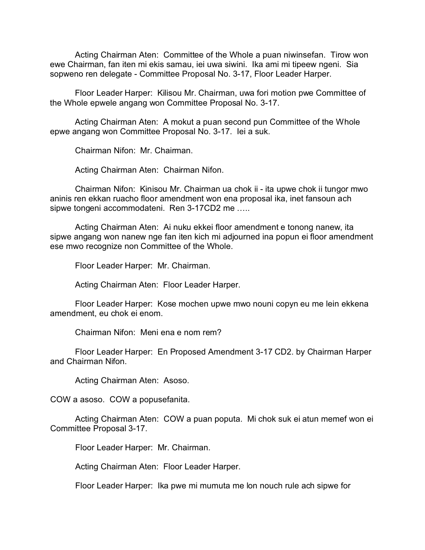Acting Chairman Aten: Committee of the Whole a puan niwinsefan. Tirow won ewe Chairman, fan iten mi ekis samau, iei uwa siwini. Ika ami mi tipeew ngeni. Sia sopweno ren delegate - Committee Proposal No. 3-17, Floor Leader Harper.

Floor Leader Harper: Kilisou Mr. Chairman, uwa fori motion pwe Committee of the Whole epwele angang won Committee Proposal No. 3-17.

Acting Chairman Aten: A mokut a puan second pun Committee of the Whole epwe angang won Committee Proposal No. 3-17. Iei a suk.

Chairman Nifon: Mr. Chairman.

Acting Chairman Aten: Chairman Nifon.

Chairman Nifon: Kinisou Mr. Chairman ua chok ii - ita upwe chok ii tungor mwo aninis ren ekkan ruacho floor amendment won ena proposal ika, inet fansoun ach sipwe tongeni accommodateni. Ren 3-17CD2 me …..

Acting Chairman Aten: Ai nuku ekkei floor amendment e tonong nanew, ita sipwe angang won nanew nge fan iten kich mi adjourned ina popun ei floor amendment ese mwo recognize non Committee of the Whole.

Floor Leader Harper: Mr. Chairman.

Acting Chairman Aten: Floor Leader Harper.

Floor Leader Harper: Kose mochen upwe mwo nouni copyn eu me lein ekkena amendment, eu chok ei enom.

Chairman Nifon: Meni ena e nom rem?

Floor Leader Harper: En Proposed Amendment 3-17 CD2. by Chairman Harper and Chairman Nifon.

Acting Chairman Aten: Asoso.

COW a asoso. COW a popusefanita.

Acting Chairman Aten: COW a puan poputa. Mi chok suk ei atun memef won ei Committee Proposal 3-17.

Floor Leader Harper: Mr. Chairman.

Acting Chairman Aten: Floor Leader Harper.

Floor Leader Harper: Ika pwe mi mumuta me lon nouch rule ach sipwe for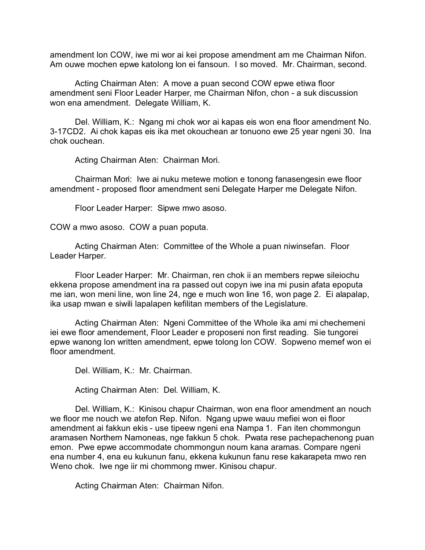amendment lon COW, iwe mi wor ai kei propose amendment am me Chairman Nifon. Am ouwe mochen epwe katolong lon ei fansoun. I so moved. Mr. Chairman, second.

Acting Chairman Aten: A move a puan second COW epwe etiwa floor amendment seni Floor Leader Harper, me Chairman Nifon, chon - a suk discussion won ena amendment. Delegate William, K.

Del. William, K.: Ngang mi chok wor ai kapas eis won ena floor amendment No. 3-17CD2. Ai chok kapas eis ika met okouchean ar tonuono ewe 25 year ngeni 30. Ina chok ouchean.

Acting Chairman Aten: Chairman Mori.

Chairman Mori: Iwe ai nuku metewe motion e tonong fanasengesin ewe floor amendment - proposed floor amendment seni Delegate Harper me Delegate Nifon.

Floor Leader Harper: Sipwe mwo asoso.

COW a mwo asoso. COW a puan poputa.

Acting Chairman Aten: Committee of the Whole a puan niwinsefan. Floor Leader Harper.

Floor Leader Harper: Mr. Chairman, ren chok ii an members repwe sileiochu ekkena propose amendment ina ra passed out copyn iwe ina mi pusin afata epoputa me ian, won meni line, won line 24, nge e much won line 16, won page 2. Ei alapalap, ika usap mwan e siwili lapalapen kefilitan members of the Legislature.

Acting Chairman Aten: Ngeni Committee of the Whole ika ami mi chechemeni iei ewe floor amendement, Floor Leader e proposeni non first reading. Sie tungorei epwe wanong lon written amendment, epwe tolong lon COW. Sopweno memef won ei floor amendment.

Del. William, K.: Mr. Chairman.

Acting Chairman Aten: Del. William, K.

Del. William, K.: Kinisou chapur Chairman, won ena floor amendment an nouch we floor me nouch we atefon Rep. Nifon. Ngang upwe wauu mefiei won ei floor amendment ai fakkun ekis - use tipeew ngeni ena Nampa 1. Fan iten chommongun aramasen Northern Namoneas, nge fakkun 5 chok. Pwata rese pachepachenong puan emon. Pwe epwe accommodate chommongun noum kana aramas. Compare ngeni ena number 4, ena eu kukunun fanu, ekkena kukunun fanu rese kakarapeta mwo ren Weno chok. Iwe nge iir mi chommong mwer. Kinisou chapur.

Acting Chairman Aten: Chairman Nifon.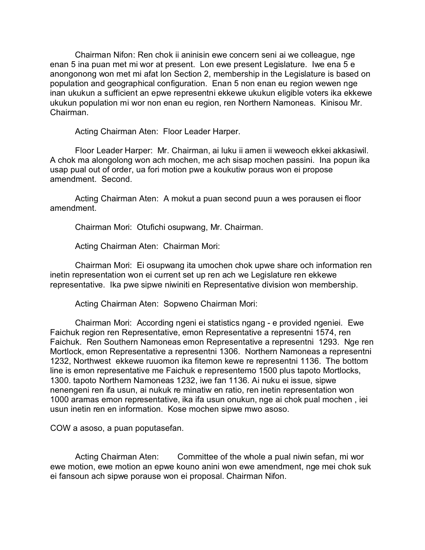Chairman Nifon: Ren chok ii aninisin ewe concern seni ai we colleague, nge enan 5 ina puan met mi wor at present. Lon ewe present Legislature. Iwe ena 5 e anongonong won met mi afat lon Section 2, membership in the Legislature is based on population and geographical configuration. Enan 5 non enan eu region wewen nge inan ukukun a sufficient an epwe representni ekkewe ukukun eligible voters ika ekkewe ukukun population mi wor non enan eu region, ren Northern Namoneas. Kinisou Mr. Chairman.

Acting Chairman Aten: Floor Leader Harper.

Floor Leader Harper: Mr. Chairman, ai luku ii amen ii weweoch ekkei akkasiwil. A chok ma alongolong won ach mochen, me ach sisap mochen passini. Ina popun ika usap pual out of order, ua fori motion pwe a koukutiw poraus won ei propose amendment. Second.

Acting Chairman Aten: A mokut a puan second puun a wes porausen ei floor amendment.

Chairman Mori: Otufichi osupwang, Mr. Chairman.

Acting Chairman Aten: Chairman Mori:

Chairman Mori: Ei osupwang ita umochen chok upwe share och information ren inetin representation won ei current set up ren ach we Legislature ren ekkewe representative. Ika pwe sipwe niwiniti en Representative division won membership.

Acting Chairman Aten: Sopweno Chairman Mori:

Chairman Mori: According ngeni ei statistics ngang - e provided ngeniei. Ewe Faichuk region ren Representative, emon Representative a representni 1574, ren Faichuk. Ren Southern Namoneas emon Representative a representni 1293. Nge ren Mortlock, emon Representative a representni 1306. Northern Namoneas a representni 1232, Northwest ekkewe ruuomon ika fitemon kewe re representni 1136. The bottom line is emon representative me Faichuk e representemo 1500 plus tapoto Mortlocks, 1300. tapoto Northern Namoneas 1232, iwe fan 1136. Ai nuku ei issue, sipwe nenengeni ren ifa usun, ai nukuk re minatiw en ratio, ren inetin representation won 1000 aramas emon representative, ika ifa usun onukun, nge ai chok pual mochen , iei usun inetin ren en information. Kose mochen sipwe mwo asoso.

COW a asoso, a puan poputasefan.

Acting Chairman Aten: Committee of the whole a pual niwin sefan, mi wor ewe motion, ewe motion an epwe kouno anini won ewe amendment, nge mei chok suk ei fansoun ach sipwe porause won ei proposal. Chairman Nifon.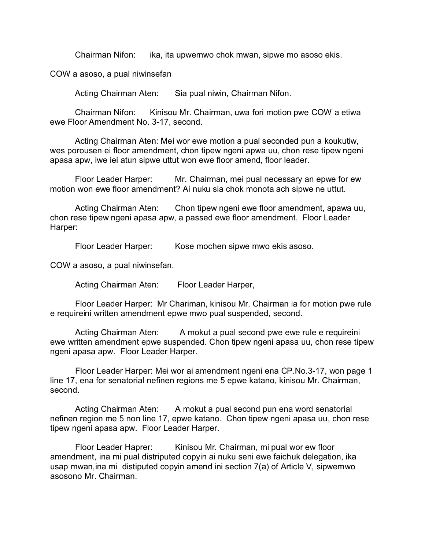Chairman Nifon: ika, ita upwemwo chok mwan, sipwe mo asoso ekis.

COW a asoso, a pual niwinsefan

Acting Chairman Aten: Sia pual niwin, Chairman Nifon.

Chairman Nifon: Kinisou Mr. Chairman, uwa fori motion pwe COW a etiwa ewe Floor Amendment No. 3-17, second.

Acting Chairman Aten: Mei wor ewe motion a pual seconded pun a koukutiw, wes porousen ei floor amendment, chon tipew ngeni apwa uu, chon rese tipew ngeni apasa apw, iwe iei atun sipwe uttut won ewe floor amend, floor leader.

Floor Leader Harper: Mr. Chairman, mei pual necessary an epwe for ew motion won ewe floor amendment? Ai nuku sia chok monota ach sipwe ne uttut.

Acting Chairman Aten: Chon tipew ngeni ewe floor amendment, apawa uu, chon rese tipew ngeni apasa apw, a passed ewe floor amendment. Floor Leader Harper:

Floor Leader Harper: Kose mochen sipwe mwo ekis asoso.

COW a asoso, a pual niwinsefan.

Acting Chairman Aten: Floor Leader Harper,

Floor Leader Harper: Mr Chariman, kinisou Mr. Chairman ia for motion pwe rule e requireini written amendment epwe mwo pual suspended, second.

Acting Chairman Aten: A mokut a pual second pwe ewe rule e requireini ewe written amendment epwe suspended. Chon tipew ngeni apasa uu, chon rese tipew ngeni apasa apw. Floor Leader Harper.

Floor Leader Harper: Mei wor ai amendment ngeni ena CP.No.3-17, won page 1 line 17, ena for senatorial nefinen regions me 5 epwe katano, kinisou Mr. Chairman, second.

Acting Chairman Aten: A mokut a pual second pun ena word senatorial nefinen region me 5 non line 17, epwe katano. Chon tipew ngeni apasa uu, chon rese tipew ngeni apasa apw. Floor Leader Harper.

Floor Leader Haprer: Kinisou Mr. Chairman, mi pual wor ew floor amendment, ina mi pual distriputed copyin ai nuku seni ewe faichuk delegation, ika usap mwan,ina mi distiputed copyin amend ini section 7(a) of Article V, sipwemwo asosono Mr. Chairman.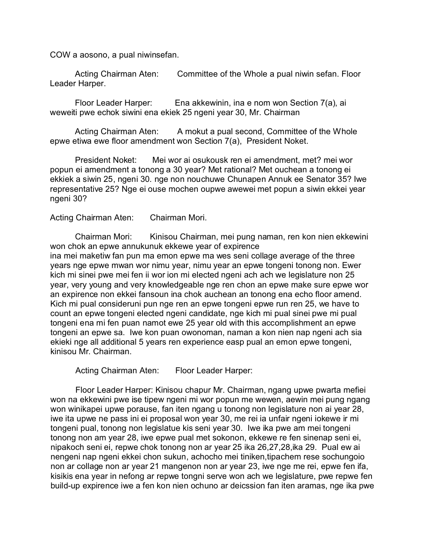COW a aosono, a pual niwinsefan.

Acting Chairman Aten: Committee of the Whole a pual niwin sefan. Floor Leader Harper.

Floor Leader Harper: Ena akkewinin, ina e nom won Section 7(a), ai weweiti pwe echok siwini ena ekiek 25 ngeni year 30, Mr. Chairman

Acting Chairman Aten: A mokut a pual second, Committee of the Whole epwe etiwa ewe floor amendment won Section 7(a), President Noket.

President Noket: Mei wor ai osukousk ren ei amendment, met? mei wor popun ei amendment a tonong a 30 year? Met rational? Met ouchean a tonong ei ekkiek a siwin 25, ngeni 30. nge non nouchuwe Chunapen Annuk ee Senator 35? Iwe representative 25? Nge ei ouse mochen oupwe awewei met popun a siwin ekkei year ngeni 30?

Acting Chairman Aten: Chairman Mori.

Chairman Mori: Kinisou Chairman, mei pung naman, ren kon nien ekkewini won chok an epwe annukunuk ekkewe year of expirence ina mei maketiw fan pun ma emon epwe ma wes seni collage average of the three years nge epwe mwan wor nimu year, nimu year an epwe tongeni tonong non. Ewer kich mi sinei pwe mei fen ii wor ion mi elected ngeni ach ach we legislature non 25 year, very young and very knowledgeable nge ren chon an epwe make sure epwe wor an expirence non ekkei fansoun ina chok auchean an tonong ena echo floor amend. Kich mi pual consideruni pun nge ren an epwe tongeni epwe run ren 25, we have to count an epwe tongeni elected ngeni candidate, nge kich mi pual sinei pwe mi pual tongeni ena mi fen puan namot ewe 25 year old with this accomplishment an epwe tongeni an epwe sa. Iwe kon puan owonoman, naman a kon nien nap ngeni ach sia ekieki nge all additional 5 years ren experience easp pual an emon epwe tongeni, kinisou Mr. Chairman.

Acting Chairman Aten: Floor Leader Harper:

Floor Leader Harper: Kinisou chapur Mr. Chairman, ngang upwe pwarta mefiei won na ekkewini pwe ise tipew ngeni mi wor popun me wewen, aewin mei pung ngang won winikapei upwe porause, fan iten ngang u tonong non legislature non ai year 28, iwe ita upwe ne pass ini ei proposal won year 30, me rei ia unfair ngeni iokewe ir mi tongeni pual, tonong non legislatue kis seni year 30. Iwe ika pwe am mei tongeni tonong non am year 28, iwe epwe pual met sokonon, ekkewe re fen sinenap seni ei, nipakoch seni ei, repwe chok tonong non ar year 25 ika 26,27,28,ika 29. Pual ew ai nengeni nap ngeni ekkei chon sukun, achocho mei tiniken,tipachem rese sochungoio non ar collage non ar year 21 mangenon non ar year 23, iwe nge me rei, epwe fen ifa, kisikis ena year in nefong ar repwe tongni serve won ach we legislature, pwe repwe fen build-up expirence iwe a fen kon nien ochuno ar deicssion fan iten aramas, nge ika pwe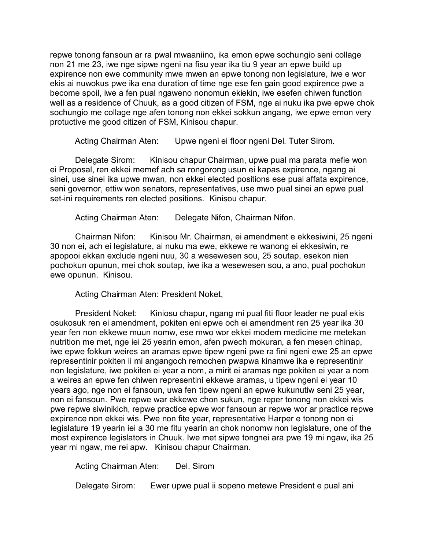repwe tonong fansoun ar ra pwal mwaaniino, ika emon epwe sochungio seni collage non 21 me 23, iwe nge sipwe ngeni na fisu year ika tiu 9 year an epwe build up expirence non ewe community mwe mwen an epwe tonong non legislature, iwe e wor ekis ai nuwokus pwe ika ena duration of time nge ese fen gain good expirence pwe a become spoil, iwe a fen pual ngaweno nonomun ekiekin, iwe esefen chiwen function well as a residence of Chuuk, as a good citizen of FSM, nge ai nuku ika pwe epwe chok sochungio me collage nge afen tonong non ekkei sokkun angang, iwe epwe emon very protuctive me good citizen of FSM, Kinisou chapur.

Acting Chairman Aten: Upwe ngeni ei floor ngeni Del. Tuter Sirom.

Delegate Sirom: Kinisou chapur Chairman, upwe pual ma parata mefie won ei Proposal, ren ekkei memef ach sa rongorong usun ei kapas expirence, ngang ai sinei, use sinei ika upwe mwan, non ekkei elected positions ese pual affata expirence, seni governor, ettiw won senators, representatives, use mwo pual sinei an epwe pual set-ini requirements ren elected positions. Kinisou chapur.

Acting Chairman Aten: Delegate Nifon, Chairman Nifon.

Chairman Nifon: Kinisou Mr. Chairman, ei amendment e ekkesiwini, 25 ngeni 30 non ei, ach ei legislature, ai nuku ma ewe, ekkewe re wanong ei ekkesiwin, re apopooi ekkan exclude ngeni nuu, 30 a wesewesen sou, 25 soutap, esekon nien pochokun opunun, mei chok soutap, iwe ika a wesewesen sou, a ano, pual pochokun ewe opunun. Kinisou.

Acting Chairman Aten: President Noket,

President Noket: Kiniosu chapur, ngang mi pual fiti floor leader ne pual ekis osukosuk ren ei amendment, pokiten eni epwe och ei amendment ren 25 year ika 30 year fen non ekkewe muun nomw, ese mwo wor ekkei modern medicine me metekan nutrition me met, nge iei 25 yearin emon, afen pwech mokuran, a fen mesen chinap, iwe epwe fokkun weires an aramas epwe tipew ngeni pwe ra fini ngeni ewe 25 an epwe representinir pokiten ii mi angangoch remochen pwapwa kinamwe ika e representinir non legislature, iwe pokiten ei year a nom, a mirit ei aramas nge pokiten ei year a nom a weires an epwe fen chiwen representini ekkewe aramas, u tipew ngeni ei year 10 years ago, nge non ei fansoun, uwa fen tipew ngeni an epwe kukunutiw seni 25 year, non ei fansoun. Pwe repwe war ekkewe chon sukun, nge reper tonong non ekkei wis pwe repwe siwinikich, repwe practice epwe wor fansoun ar repwe wor ar practice repwe expirence non ekkei wis. Pwe non fite year, representative Harper e tonong non ei legislature 19 yearin iei a 30 me fitu yearin an chok nonomw non legislature, one of the most expirence legislators in Chuuk. Iwe met sipwe tongnei ara pwe 19 mi ngaw, ika 25 year mi ngaw, me rei apw. Kinisou chapur Chairman.

Acting Chairman Aten: Del. Sirom

Delegate Sirom: Ewer upwe pual ii sopeno metewe President e pual ani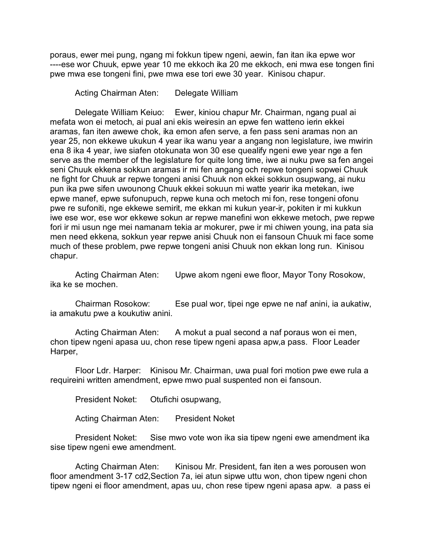poraus, ewer mei pung, ngang mi fokkun tipew ngeni, aewin, fan itan ika epwe wor ----ese wor Chuuk, epwe year 10 me ekkoch ika 20 me ekkoch, eni mwa ese tongen fini pwe mwa ese tongeni fini, pwe mwa ese tori ewe 30 year. Kinisou chapur.

Acting Chairman Aten: Delegate William

Delegate William Keiuo: Ewer, kiniou chapur Mr. Chairman, ngang pual ai mefata won ei metoch, ai pual ani ekis weiresin an epwe fen watteno ierin ekkei aramas, fan iten awewe chok, ika emon afen serve, a fen pass seni aramas non an year 25, non ekkewe ukukun 4 year ika wanu year a angang non legislature, iwe mwirin ena 8 ika 4 year, iwe siafen otokunata won 30 ese quealify ngeni ewe year nge a fen serve as the member of the legislature for quite long time, iwe ai nuku pwe sa fen angei seni Chuuk ekkena sokkun aramas ir mi fen angang och repwe tongeni sopwei Chuuk ne fight for Chuuk ar repwe tongeni anisi Chuuk non ekkei sokkun osupwang, ai nuku pun ika pwe sifen uwounong Chuuk ekkei sokuun mi watte yearir ika metekan, iwe epwe manef, epwe sufonupuch, repwe kuna och metoch mi fon, rese tongeni ofonu pwe re sufoniti, nge ekkewe semirit, me ekkan mi kukun year-ir, pokiten ir mi kukkun iwe ese wor, ese wor ekkewe sokun ar repwe manefini won ekkewe metoch, pwe repwe fori ir mi usun nge mei namanam tekia ar mokurer, pwe ir mi chiwen young, ina pata sia men need ekkena, sokkun year repwe anisi Chuuk non ei fansoun Chuuk mi face some much of these problem, pwe repwe tongeni anisi Chuuk non ekkan long run. Kinisou chapur.

Acting Chairman Aten: Upwe akom ngeni ewe floor, Mayor Tony Rosokow, ika ke se mochen.

Chairman Rosokow: Ese pual wor, tipei nge epwe ne naf anini, ia aukatiw, ia amakutu pwe a koukutiw anini.

Acting Chairman Aten: A mokut a pual second a naf poraus won ei men, chon tipew ngeni apasa uu, chon rese tipew ngeni apasa apw,a pass. Floor Leader Harper,

Floor Ldr. Harper: Kinisou Mr. Chairman, uwa pual fori motion pwe ewe rula a requireini written amendment, epwe mwo pual suspented non ei fansoun.

President Noket: Otufichi osupwang,

Acting Chairman Aten: President Noket

President Noket: Sise mwo vote won ika sia tipew ngeni ewe amendment ika sise tipew ngeni ewe amendment.

Acting Chairman Aten: Kinisou Mr. President, fan iten a wes porousen won floor amendment 3-17 cd2,Section 7a, iei atun sipwe uttu won, chon tipew ngeni chon tipew ngeni ei floor amendment, apas uu, chon rese tipew ngeni apasa apw. a pass ei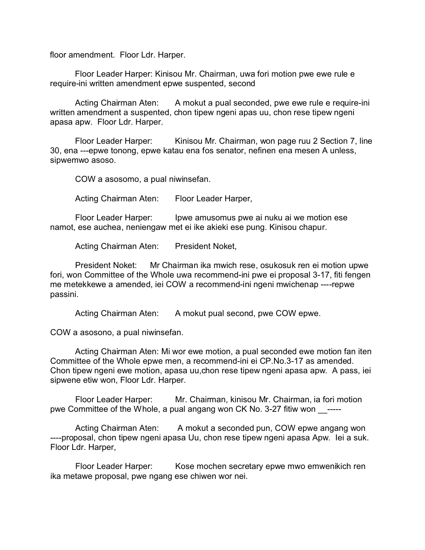floor amendment. Floor Ldr. Harper.

Floor Leader Harper: Kinisou Mr. Chairman, uwa fori motion pwe ewe rule e require-ini written amendment epwe suspented, second

Acting Chairman Aten: A mokut a pual seconded, pwe ewe rule e require-ini written amendment a suspented, chon tipew ngeni apas uu, chon rese tipew ngeni apasa apw. Floor Ldr. Harper.

Floor Leader Harper: Kinisou Mr. Chairman, won page ruu 2 Section 7, line 30, ena ---epwe tonong, epwe katau ena fos senator, nefinen ena mesen A unless, sipwemwo asoso.

COW a asosomo, a pual niwinsefan.

Acting Chairman Aten: Floor Leader Harper,

Floor Leader Harper: Ipwe amusomus pwe ai nuku ai we motion ese namot, ese auchea, neniengaw met ei ike akieki ese pung. Kinisou chapur.

Acting Chairman Aten: President Noket,

President Noket: Mr Chairman ika mwich rese, osukosuk ren ei motion upwe fori, won Committee of the Whole uwa recommend-ini pwe ei proposal 3-17, fiti fengen me metekkewe a amended, iei COW a recommend-ini ngeni mwichenap ----repwe passini.

Acting Chairman Aten: A mokut pual second, pwe COW epwe.

COW a asosono, a pual niwinsefan.

Acting Chairman Aten: Mi wor ewe motion, a pual seconded ewe motion fan iten Committee of the Whole epwe men, a recommend-ini ei CP.No.3-17 as amended. Chon tipew ngeni ewe motion, apasa uu,chon rese tipew ngeni apasa apw. A pass, iei sipwene etiw won, Floor Ldr. Harper.

Floor Leader Harper: Mr. Chairman, kinisou Mr. Chairman, ia fori motion pwe Committee of the Whole, a pual angang won CK No. 3-27 fitiw won \_\_\_\_\_\_

Acting Chairman Aten: A mokut a seconded pun, COW epwe angang won ----proposal, chon tipew ngeni apasa Uu, chon rese tipew ngeni apasa Apw. Iei a suk. Floor Ldr. Harper,

Floor Leader Harper: Kose mochen secretary epwe mwo emwenikich ren ika metawe proposal, pwe ngang ese chiwen wor nei.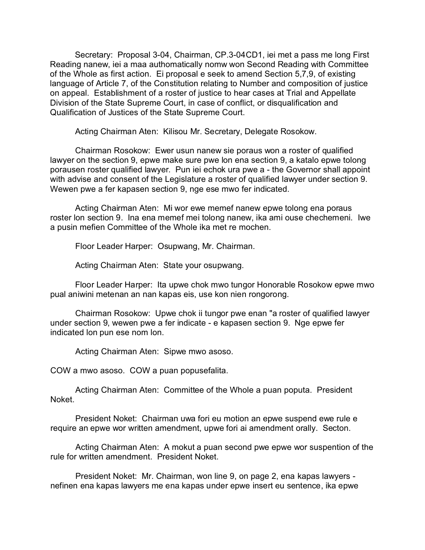Secretary: Proposal 3-04, Chairman, CP.3-04CD1, iei met a pass me long First Reading nanew, iei a maa authomatically nomw won Second Reading with Committee of the Whole as first action. Ei proposal e seek to amend Section 5,7,9, of existing language of Article 7, of the Constitution relating to Number and composition of justice on appeal. Establishment of a roster of justice to hear cases at Trial and Appellate Division of the State Supreme Court, in case of conflict, or disqualification and Qualification of Justices of the State Supreme Court.

Acting Chairman Aten: Kilisou Mr. Secretary, Delegate Rosokow.

Chairman Rosokow: Ewer usun nanew sie poraus won a roster of qualified lawyer on the section 9, epwe make sure pwe lon ena section 9, a katalo epwe tolong porausen roster qualified lawyer. Pun iei echok ura pwe a - the Governor shall appoint with advise and consent of the Legislature a roster of qualified lawyer under section 9. Wewen pwe a fer kapasen section 9, nge ese mwo fer indicated.

Acting Chairman Aten: Mi wor ewe memef nanew epwe tolong ena poraus roster lon section 9. Ina ena memef mei tolong nanew, ika ami ouse chechemeni. Iwe a pusin mefien Committee of the Whole ika met re mochen.

Floor Leader Harper: Osupwang, Mr. Chairman.

Acting Chairman Aten: State your osupwang.

Floor Leader Harper: Ita upwe chok mwo tungor Honorable Rosokow epwe mwo pual aniwini metenan an nan kapas eis, use kon nien rongorong.

Chairman Rosokow: Upwe chok ii tungor pwe enan "a roster of qualified lawyer under section 9, wewen pwe a fer indicate - e kapasen section 9. Nge epwe fer indicated lon pun ese nom lon.

Acting Chairman Aten: Sipwe mwo asoso.

COW a mwo asoso. COW a puan popusefalita.

Acting Chairman Aten: Committee of the Whole a puan poputa. President Noket.

President Noket: Chairman uwa fori eu motion an epwe suspend ewe rule e require an epwe wor written amendment, upwe fori ai amendment orally. Secton.

Acting Chairman Aten: A mokut a puan second pwe epwe wor suspention of the rule for written amendment. President Noket.

President Noket: Mr. Chairman, won line 9, on page 2, ena kapas lawyers nefinen ena kapas lawyers me ena kapas under epwe insert eu sentence, ika epwe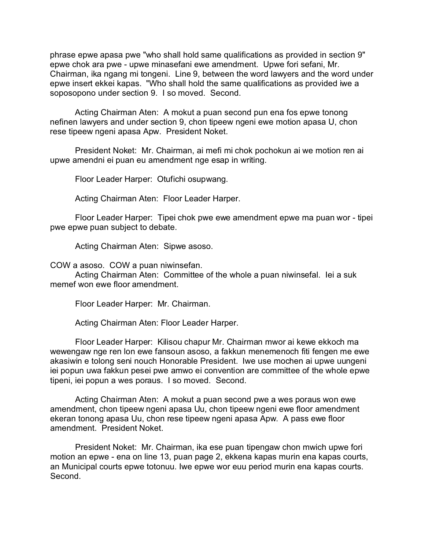phrase epwe apasa pwe "who shall hold same qualifications as provided in section 9" epwe chok ara pwe - upwe minasefani ewe amendment. Upwe fori sefani, Mr. Chairman, ika ngang mi tongeni. Line 9, between the word lawyers and the word under epwe insert ekkei kapas. "Who shall hold the same qualifications as provided iwe a soposopono under section 9. I so moved. Second.

Acting Chairman Aten: A mokut a puan second pun ena fos epwe tonong nefinen lawyers and under section 9, chon tipeew ngeni ewe motion apasa U, chon rese tipeew ngeni apasa Apw. President Noket.

President Noket: Mr. Chairman, ai mefi mi chok pochokun ai we motion ren ai upwe amendni ei puan eu amendment nge esap in writing.

Floor Leader Harper: Otufichi osupwang.

Acting Chairman Aten: Floor Leader Harper.

Floor Leader Harper: Tipei chok pwe ewe amendment epwe ma puan wor - tipei pwe epwe puan subject to debate.

Acting Chairman Aten: Sipwe asoso.

COW a asoso. COW a puan niwinsefan.

Acting Chairman Aten: Committee of the whole a puan niwinsefal. Iei a suk memef won ewe floor amendment.

Floor Leader Harper: Mr. Chairman.

Acting Chairman Aten: Floor Leader Harper.

Floor Leader Harper: Kilisou chapur Mr. Chairman mwor ai kewe ekkoch ma wewengaw nge ren lon ewe fansoun asoso, a fakkun menemenoch fiti fengen me ewe akasiwin e tolong seni nouch Honorable President. Iwe use mochen ai upwe uungeni iei popun uwa fakkun pesei pwe amwo ei convention are committee of the whole epwe tipeni, iei popun a wes poraus. I so moved. Second.

Acting Chairman Aten: A mokut a puan second pwe a wes poraus won ewe amendment, chon tipeew ngeni apasa Uu, chon tipeew ngeni ewe floor amendment ekeran tonong apasa Uu, chon rese tipeew ngeni apasa Apw. A pass ewe floor amendment. President Noket.

President Noket: Mr. Chairman, ika ese puan tipengaw chon mwich upwe fori motion an epwe - ena on line 13, puan page 2, ekkena kapas murin ena kapas courts, an Municipal courts epwe totonuu. Iwe epwe wor euu period murin ena kapas courts. Second.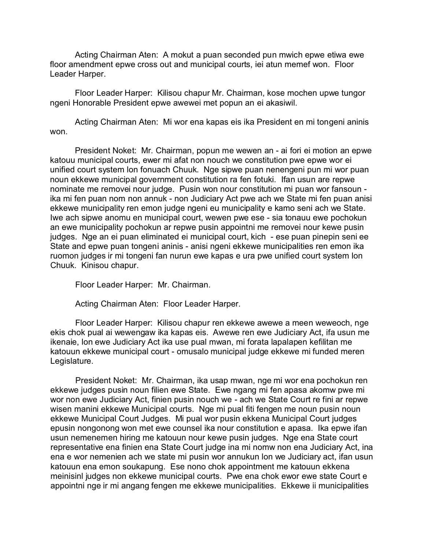Acting Chairman Aten: A mokut a puan seconded pun mwich epwe etiwa ewe floor amendment epwe cross out and municipal courts, iei atun memef won. Floor Leader Harper.

Floor Leader Harper: Kilisou chapur Mr. Chairman, kose mochen upwe tungor ngeni Honorable President epwe awewei met popun an ei akasiwil.

Acting Chairman Aten: Mi wor ena kapas eis ika President en mi tongeni aninis won.

President Noket: Mr. Chairman, popun me wewen an - ai fori ei motion an epwe katouu municipal courts, ewer mi afat non nouch we constitution pwe epwe wor ei unified court system lon fonuach Chuuk. Nge sipwe puan nenengeni pun mi wor puan noun ekkewe municipal government constitution ra fen fotuki. Ifan usun are repwe nominate me removei nour judge. Pusin won nour constitution mi puan wor fansoun ika mi fen puan nom non annuk - non Judiciary Act pwe ach we State mi fen puan anisi ekkewe municipality ren emon judge ngeni eu municipality e kamo seni ach we State. Iwe ach sipwe anomu en municipal court, wewen pwe ese - sia tonauu ewe pochokun an ewe municipality pochokun ar repwe pusin appointni me removei nour kewe pusin judges. Nge an ei puan eliminated ei municipal court, kich - ese puan pinepin seni ee State and epwe puan tongeni aninis - anisi ngeni ekkewe municipalities ren emon ika ruomon judges ir mi tongeni fan nurun ewe kapas e ura pwe unified court system lon Chuuk. Kinisou chapur.

Floor Leader Harper: Mr. Chairman.

Acting Chairman Aten: Floor Leader Harper.

Floor Leader Harper: Kilisou chapur ren ekkewe awewe a meen weweoch, nge ekis chok pual ai wewengaw ika kapas eis. Awewe ren ewe Judiciary Act, ifa usun me ikenaie, lon ewe Judiciary Act ika use pual mwan, mi forata lapalapen kefilitan me katouun ekkewe municipal court - omusalo municipal judge ekkewe mi funded meren Legislature.

President Noket: Mr. Chairman, ika usap mwan, nge mi wor ena pochokun ren ekkewe judges pusin noun filien ewe State. Ewe ngang mi fen apasa akomw pwe mi wor non ewe Judiciary Act, finien pusin nouch we - ach we State Court re fini ar repwe wisen manini ekkewe Municipal courts. Nge mi pual fiti fengen me noun pusin noun ekkewe Municipal Court Judges. Mi pual wor pusin ekkena Municipal Court judges epusin nongonong won met ewe counsel ika nour constitution e apasa. Ika epwe ifan usun nemenemen hiring me katouun nour kewe pusin judges. Nge ena State court representative ena finien ena State Court judge ina mi nomw non ena Judiciary Act, ina ena e wor nemenien ach we state mi pusin wor annukun lon we Judiciary act, ifan usun katouun ena emon soukapung. Ese nono chok appointment me katouun ekkena meinisinl judges non ekkewe municipal courts. Pwe ena chok ewor ewe state Court e appointni nge ir mi angang fengen me ekkewe municipalities. Ekkewe ii municipalities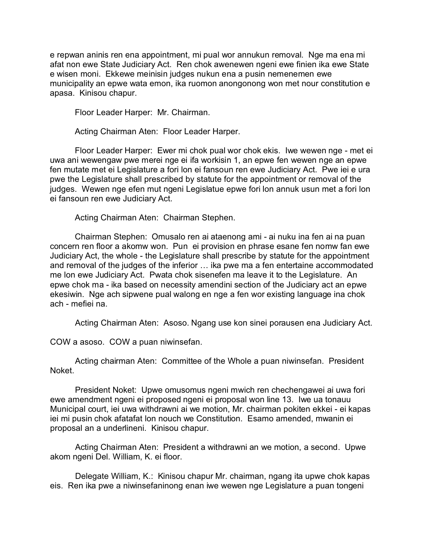e repwan aninis ren ena appointment, mi pual wor annukun removal. Nge ma ena mi afat non ewe State Judiciary Act. Ren chok awenewen ngeni ewe finien ika ewe State e wisen moni. Ekkewe meinisin judges nukun ena a pusin nemenemen ewe municipality an epwe wata emon, ika ruomon anongonong won met nour constitution e apasa. Kinisou chapur.

Floor Leader Harper: Mr. Chairman.

Acting Chairman Aten: Floor Leader Harper.

Floor Leader Harper: Ewer mi chok pual wor chok ekis. Iwe wewen nge - met ei uwa ani wewengaw pwe merei nge ei ifa workisin 1, an epwe fen wewen nge an epwe fen mutate met ei Legislature a fori lon ei fansoun ren ewe Judiciary Act. Pwe iei e ura pwe the Legislature shall prescribed by statute for the appointment or removal of the judges. Wewen nge efen mut ngeni Legislatue epwe fori lon annuk usun met a fori lon ei fansoun ren ewe Judiciary Act.

Acting Chairman Aten: Chairman Stephen.

Chairman Stephen: Omusalo ren ai ataenong ami - ai nuku ina fen ai na puan concern ren floor a akomw won. Pun ei provision en phrase esane fen nomw fan ewe Judiciary Act, the whole - the Legislature shall prescribe by statute for the appointment and removal of the judges of the inferior … ika pwe ma a fen entertaine accommodated me lon ewe Judiciary Act. Pwata chok sisenefen ma leave it to the Legislature. An epwe chok ma - ika based on necessity amendini section of the Judiciary act an epwe ekesiwin. Nge ach sipwene pual walong en nge a fen wor existing language ina chok ach - mefiei na.

Acting Chairman Aten: Asoso. Ngang use kon sinei porausen ena Judiciary Act.

COW a asoso. COW a puan niwinsefan.

Acting chairman Aten: Committee of the Whole a puan niwinsefan. President Noket.

President Noket: Upwe omusomus ngeni mwich ren chechengawei ai uwa fori ewe amendment ngeni ei proposed ngeni ei proposal won line 13. Iwe ua tonauu Municipal court, iei uwa withdrawni ai we motion, Mr. chairman pokiten ekkei - ei kapas iei mi pusin chok afatafat lon nouch we Constitution. Esamo amended, mwanin ei proposal an a underlineni. Kinisou chapur.

Acting Chairman Aten: President a withdrawni an we motion, a second. Upwe akom ngeni Del. William, K. ei floor.

Delegate William, K.: Kinisou chapur Mr. chairman, ngang ita upwe chok kapas eis. Ren ika pwe a niwinsefaninong enan iwe wewen nge Legislature a puan tongeni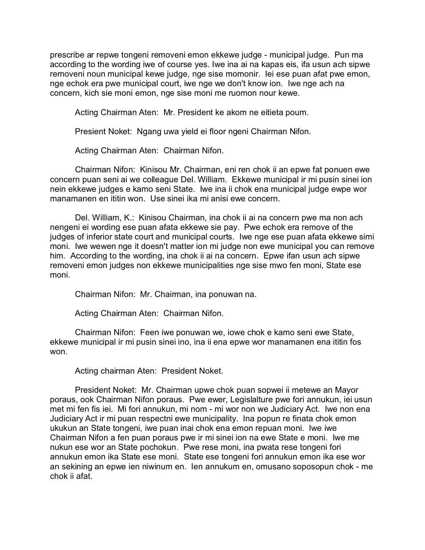prescribe ar repwe tongeni removeni emon ekkewe judge - municipal judge. Pun ma according to the wording iwe of course yes. Iwe ina ai na kapas eis, ifa usun ach sipwe removeni noun municipal kewe judge, nge sise momonir. Iei ese puan afat pwe emon, nge echok era pwe municipal court, iwe nge we don't know ion. Iwe nge ach na concern, kich sie moni emon, nge sise moni me ruomon nour kewe.

Acting Chairman Aten: Mr. President ke akom ne eitieta poum.

Presient Noket: Ngang uwa yield ei floor ngeni Chairman Nifon.

Acting Chairman Aten: Chairman Nifon.

Chairman Nifon: Kinisou Mr. Chairman, eni ren chok ii an epwe fat ponuen ewe concern puan seni ai we colleague Del. William. Ekkewe municipal ir mi pusin sinei ion nein ekkewe judges e kamo seni State. Iwe ina ii chok ena municipal judge ewpe wor manamanen en ititin won. Use sinei ika mi anisi ewe concern.

Del. William, K.: Kinisou Chairman, ina chok ii ai na concern pwe ma non ach nengeni ei wording ese puan afata ekkewe sie pay. Pwe echok era remove of the judges of inferior state court and municipal courts. Iwe nge ese puan afata ekkewe simi moni. Iwe wewen nge it doesn't matter ion mi judge non ewe municipal you can remove him. According to the wording, ina chok ii ai na concern. Epwe ifan usun ach sipwe removeni emon judges non ekkewe municipalities nge sise mwo fen moni, State ese moni.

Chairman Nifon: Mr. Chairman, ina ponuwan na.

Acting Chairman Aten: Chairman Nifon.

Chairman Nifon: Feen iwe ponuwan we, iowe chok e kamo seni ewe State, ekkewe municipal ir mi pusin sinei ino, ina ii ena epwe wor manamanen ena ititin fos won.

Acting chairman Aten: President Noket.

President Noket: Mr. Chairman upwe chok puan sopwei ii metewe an Mayor poraus, ook Chairman Nifon poraus. Pwe ewer, Legislalture pwe fori annukun, iei usun met mi fen fis iei. Mi fori annukun, mi nom - mi wor non we Judiciary Act. Iwe non ena Judiciary Act ir mi puan respectni ewe municipality. Ina popun re finata chok emon ukukun an State tongeni, iwe puan inai chok ena emon repuan moni. Iwe iwe Chairman Nifon a fen puan poraus pwe ir mi sinei ion na ewe State e moni. Iwe me nukun ese wor an State pochokun. Pwe rese moni, ina pwata rese tongeni fori annukun emon ika State ese moni. State ese tongeni fori annukun emon ika ese wor an sekining an epwe ien niwinum en. Ien annukum en, omusano soposopun chok - me chok ii afat.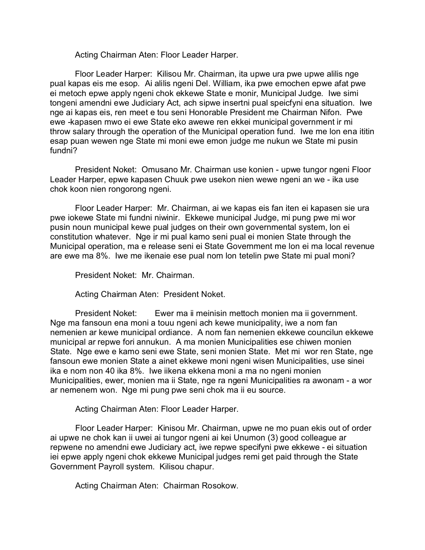Acting Chairman Aten: Floor Leader Harper.

Floor Leader Harper: Kilisou Mr. Chairman, ita upwe ura pwe upwe alilis nge pual kapas eis me esop. Ai alilis ngeni Del. William, ika pwe emochen epwe afat pwe ei metoch epwe apply ngeni chok ekkewe State e monir, Municipal Judge. Iwe simi tongeni amendni ewe Judiciary Act, ach sipwe insertni pual speicfyni ena situation. Iwe nge ai kapas eis, ren meet e tou seni Honorable President me Chairman Nifon. Pwe ewe -kapasen mwo ei ewe State eko awewe ren ekkei municipal government ir mi throw salary through the operation of the Municipal operation fund. Iwe me lon ena ititin esap puan wewen nge State mi moni ewe emon judge me nukun we State mi pusin fundni?

President Noket: Omusano Mr. Chairman use konien - upwe tungor ngeni Floor Leader Harper, epwe kapasen Chuuk pwe usekon nien wewe ngeni an we - ika use chok koon nien rongorong ngeni.

Floor Leader Harper: Mr. Chairman, ai we kapas eis fan iten ei kapasen sie ura pwe iokewe State mi fundni niwinir. Ekkewe municipal Judge, mi pung pwe mi wor pusin noun municipal kewe pual judges on their own governmental system, lon ei constitution whatever. Nge ir mi pual kamo seni pual ei monien State through the Municipal operation, ma e release seni ei State Government me lon ei ma local revenue are ewe ma 8%. Iwe me ikenaie ese pual nom lon tetelin pwe State mi pual moni?

President Noket: Mr. Chairman.

Acting Chairman Aten: President Noket.

President Noket: Ewer ma ii meinisin mettoch monien ma ii government. Nge ma fansoun ena moni a touu ngeni ach kewe municipality, iwe a nom fan nemenien ar kewe municipal ordiance. A nom fan nemenien ekkewe councilun ekkewe municipal ar repwe fori annukun. A ma monien Municipalities ese chiwen monien State. Nge ewe e kamo seni ewe State, seni monien State. Met mi wor ren State, nge fansoun ewe monien State a ainet ekkewe moni ngeni wisen Municipalities, use sinei ika e nom non 40 ika 8%. Iwe iikena ekkena moni a ma no ngeni monien Municipalities, ewer, monien ma ii State, nge ra ngeni Municipalities ra awonam - a wor ar nemenem won. Nge mi pung pwe seni chok ma ii eu source.

Acting Chairman Aten: Floor Leader Harper.

Floor Leader Harper: Kinisou Mr. Chairman, upwe ne mo puan ekis out of order ai upwe ne chok kan ii uwei ai tungor ngeni ai kei Unumon (3) good colleague ar repwene no amendni ewe Judiciary act, iwe repwe specifyni pwe ekkewe - ei situation iei epwe apply ngeni chok ekkewe Municipal judges remi get paid through the State Government Payroll system. Kilisou chapur.

Acting Chairman Aten: Chairman Rosokow.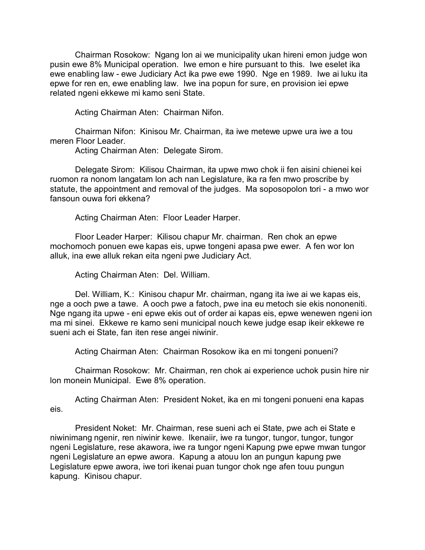Chairman Rosokow: Ngang lon ai we municipality ukan hireni emon judge won pusin ewe 8% Municipal operation. Iwe emon e hire pursuant to this. Iwe eselet ika ewe enabling law - ewe Judiciary Act ika pwe ewe 1990. Nge en 1989. Iwe ai luku ita epwe for ren en, ewe enabling law. Iwe ina popun for sure, en provision iei epwe related ngeni ekkewe mi kamo seni State.

Acting Chairman Aten: Chairman Nifon.

Chairman Nifon: Kinisou Mr. Chairman, ita iwe metewe upwe ura iwe a tou meren Floor Leader.

Acting Chairman Aten: Delegate Sirom.

Delegate Sirom: Kilisou Chairman, ita upwe mwo chok ii fen aisini chienei kei ruomon ra nonom langatam lon ach nan Legislature, ika ra fen mwo proscribe by statute, the appointment and removal of the judges. Ma soposopolon tori - a mwo wor fansoun ouwa fori ekkena?

Acting Chairman Aten: Floor Leader Harper.

Floor Leader Harper: Kilisou chapur Mr. chairman. Ren chok an epwe mochomoch ponuen ewe kapas eis, upwe tongeni apasa pwe ewer. A fen wor lon alluk, ina ewe alluk rekan eita ngeni pwe Judiciary Act.

Acting Chairman Aten: Del. William.

Del. William, K.: Kinisou chapur Mr. chairman, ngang ita iwe ai we kapas eis, nge a ooch pwe a tawe. A ooch pwe a fatoch, pwe ina eu metoch sie ekis nononeniti. Nge ngang ita upwe - eni epwe ekis out of order ai kapas eis, epwe wenewen ngeni ion ma mi sinei. Ekkewe re kamo seni municipal nouch kewe judge esap ikeir ekkewe re sueni ach ei State, fan iten rese angei niwinir.

Acting Chairman Aten: Chairman Rosokow ika en mi tongeni ponueni?

Chairman Rosokow: Mr. Chairman, ren chok ai experience uchok pusin hire nir lon monein Municipal. Ewe 8% operation.

Acting Chairman Aten: President Noket, ika en mi tongeni ponueni ena kapas eis.

President Noket: Mr. Chairman, rese sueni ach ei State, pwe ach ei State e niwinimang ngenir, ren niwinir kewe. Ikenaiir, iwe ra tungor, tungor, tungor, tungor ngeni Legislature, rese akawora, iwe ra tungor ngeni Kapung pwe epwe mwan tungor ngeni Legislature an epwe awora. Kapung a atouu lon an pungun kapung pwe Legislature epwe awora, iwe tori ikenai puan tungor chok nge afen touu pungun kapung. Kinisou chapur.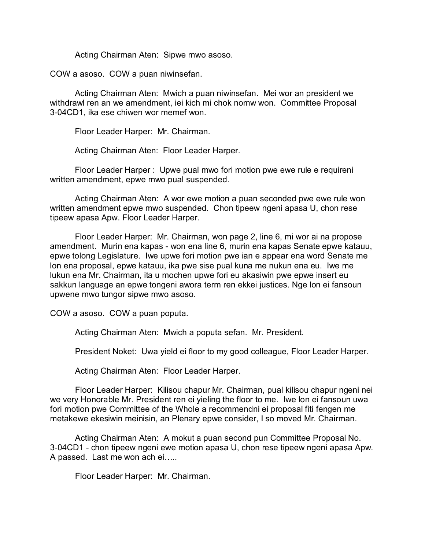Acting Chairman Aten: Sipwe mwo asoso.

COW a asoso. COW a puan niwinsefan.

Acting Chairman Aten: Mwich a puan niwinsefan. Mei wor an president we withdrawl ren an we amendment, iei kich mi chok nomw won. Committee Proposal 3-04CD1, ika ese chiwen wor memef won.

Floor Leader Harper: Mr. Chairman.

Acting Chairman Aten: Floor Leader Harper.

Floor Leader Harper : Upwe pual mwo fori motion pwe ewe rule e requireni written amendment, epwe mwo pual suspended.

Acting Chairman Aten: A wor ewe motion a puan seconded pwe ewe rule won written amendment epwe mwo suspended. Chon tipeew ngeni apasa U, chon rese tipeew apasa Apw. Floor Leader Harper.

Floor Leader Harper: Mr. Chairman, won page 2, line 6, mi wor ai na propose amendment. Murin ena kapas - won ena line 6, murin ena kapas Senate epwe katauu, epwe tolong Legislature. Iwe upwe fori motion pwe ian e appear ena word Senate me lon ena proposal, epwe katauu, ika pwe sise pual kuna me nukun ena eu. Iwe me lukun ena Mr. Chairman, ita u mochen upwe fori eu akasiwin pwe epwe insert eu sakkun language an epwe tongeni awora term ren ekkei justices. Nge lon ei fansoun upwene mwo tungor sipwe mwo asoso.

COW a asoso. COW a puan poputa.

Acting Chairman Aten: Mwich a poputa sefan. Mr. President.

President Noket: Uwa yield ei floor to my good colleague, Floor Leader Harper.

Acting Chairman Aten: Floor Leader Harper.

Floor Leader Harper: Kilisou chapur Mr. Chairman, pual kilisou chapur ngeni nei we very Honorable Mr. President ren ei yieling the floor to me. Iwe lon ei fansoun uwa fori motion pwe Committee of the Whole a recommendni ei proposal fiti fengen me metakewe ekesiwin meinisin, an Plenary epwe consider, I so moved Mr. Chairman.

Acting Chairman Aten: A mokut a puan second pun Committee Proposal No. 3-04CD1 - chon tipeew ngeni ewe motion apasa U, chon rese tipeew ngeni apasa Apw. A passed. Last me won ach ei…..

Floor Leader Harper: Mr. Chairman.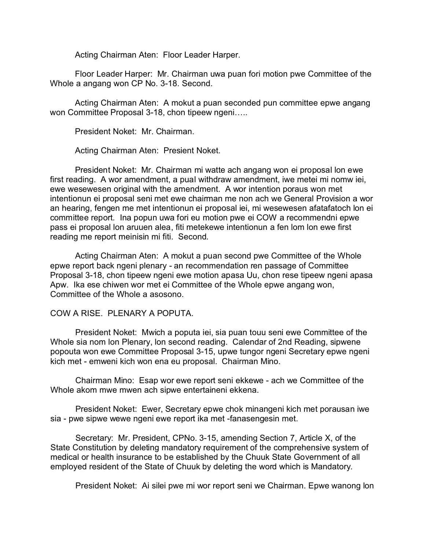Acting Chairman Aten: Floor Leader Harper.

Floor Leader Harper: Mr. Chairman uwa puan fori motion pwe Committee of the Whole a angang won CP No. 3-18. Second.

Acting Chairman Aten: A mokut a puan seconded pun committee epwe angang won Committee Proposal 3-18, chon tipeew ngeni.....

President Noket: Mr. Chairman.

Acting Chairman Aten: Presient Noket.

President Noket: Mr. Chairman mi watte ach angang won ei proposal lon ewe first reading. A wor amendment, a pual withdraw amendment, iwe metei mi nomw iei, ewe wesewesen original with the amendment. A wor intention poraus won met intentionun ei proposal seni met ewe chairman me non ach we General Provision a wor an hearing, fengen me met intentionun ei proposal iei, mi wesewesen afatafatoch lon ei committee report. Ina popun uwa fori eu motion pwe ei COW a recommendni epwe pass ei proposal lon aruuen alea, fiti metekewe intentionun a fen lom lon ewe first reading me report meinisin mi fiti. Second.

Acting Chairman Aten: A mokut a puan second pwe Committee of the Whole epwe report back ngeni plenary - an recommendation ren passage of Committee Proposal 3-18, chon tipeew ngeni ewe motion apasa Uu, chon rese tipeew ngeni apasa Apw. Ika ese chiwen wor met ei Committee of the Whole epwe angang won, Committee of the Whole a asosono.

## COW A RISE. PLENARY A POPUTA.

President Noket: Mwich a poputa iei, sia puan touu seni ewe Committee of the Whole sia nom lon Plenary, lon second reading. Calendar of 2nd Reading, sipwene popouta won ewe Committee Proposal 3-15, upwe tungor ngeni Secretary epwe ngeni kich met - emweni kich won ena eu proposal. Chairman Mino.

Chairman Mino: Esap wor ewe report seni ekkewe - ach we Committee of the Whole akom mwe mwen ach sipwe entertaineni ekkena.

President Noket: Ewer, Secretary epwe chok minangeni kich met porausan iwe sia - pwe sipwe wewe ngeni ewe report ika met -fanasengesin met.

Secretary: Mr. President, CPNo. 3-15, amending Section 7, Article X, of the State Constitution by deleting mandatory requirement of the comprehensive system of medical or health insurance to be established by the Chuuk State Government of all employed resident of the State of Chuuk by deleting the word which is Mandatory.

President Noket: Ai silei pwe mi wor report seni we Chairman. Epwe wanong lon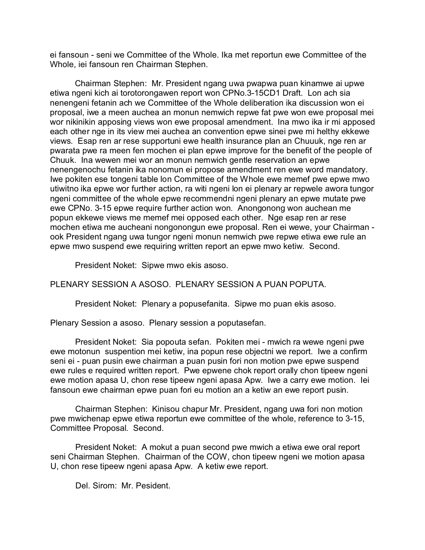ei fansoun - seni we Committee of the Whole. Ika met reportun ewe Committee of the Whole, iei fansoun ren Chairman Stephen.

Chairman Stephen: Mr. President ngang uwa pwapwa puan kinamwe ai upwe etiwa ngeni kich ai torotorongawen report won CPNo.3-15CD1 Draft. Lon ach sia nenengeni fetanin ach we Committee of the Whole deliberation ika discussion won ei proposal, iwe a meen auchea an monun nemwich repwe fat pwe won ewe proposal mei wor nikinikin apposing views won ewe proposal amendment. Ina mwo ika ir mi apposed each other nge in its view mei auchea an convention epwe sinei pwe mi helthy ekkewe views. Esap ren ar rese supportuni ewe health insurance plan an Chuuuk, nge ren ar pwarata pwe ra meen fen mochen ei plan epwe improve for the benefit of the people of Chuuk. Ina wewen mei wor an monun nemwich gentle reservation an epwe nenengenochu fetanin ika nonomun ei propose amendment ren ewe word mandatory. Iwe pokiten ese tongeni table lon Committee of the Whole ewe memef pwe epwe mwo utiwitno ika epwe wor further action, ra witi ngeni lon ei plenary ar repwele awora tungor ngeni committee of the whole epwe recommendni ngeni plenary an epwe mutate pwe ewe CPNo. 3-15 epwe require further action won. Anongonong won auchean me popun ekkewe views me memef mei opposed each other. Nge esap ren ar rese mochen etiwa me aucheani nongonongun ewe proposal. Ren ei wewe, your Chairman ook President ngang uwa tungor ngeni monun nemwich pwe repwe etiwa ewe rule an epwe mwo suspend ewe requiring written report an epwe mwo ketiw. Second.

President Noket: Sipwe mwo ekis asoso.

PLENARY SESSION A ASOSO. PLENARY SESSION A PUAN POPUTA.

President Noket: Plenary a popusefanita. Sipwe mo puan ekis asoso.

Plenary Session a asoso. Plenary session a poputasefan.

President Noket: Sia popouta sefan. Pokiten mei - mwich ra wewe ngeni pwe ewe motonun suspention mei ketiw, ina popun rese objectni we report. Iwe a confirm seni ei - puan pusin ewe chairman a puan pusin fori non motion pwe epwe suspend ewe rules e required written report. Pwe epwene chok report orally chon tipeew ngeni ewe motion apasa U, chon rese tipeew ngeni apasa Apw. Iwe a carry ewe motion. Iei fansoun ewe chairman epwe puan fori eu motion an a ketiw an ewe report pusin.

Chairman Stephen: Kinisou chapur Mr. President, ngang uwa fori non motion pwe mwichenap epwe etiwa reportun ewe committee of the whole, reference to 3-15, Committee Proposal. Second.

President Noket: A mokut a puan second pwe mwich a etiwa ewe oral report seni Chairman Stephen. Chairman of the COW, chon tipeew ngeni we motion apasa U, chon rese tipeew ngeni apasa Apw. A ketiw ewe report.

Del. Sirom: Mr. Pesident.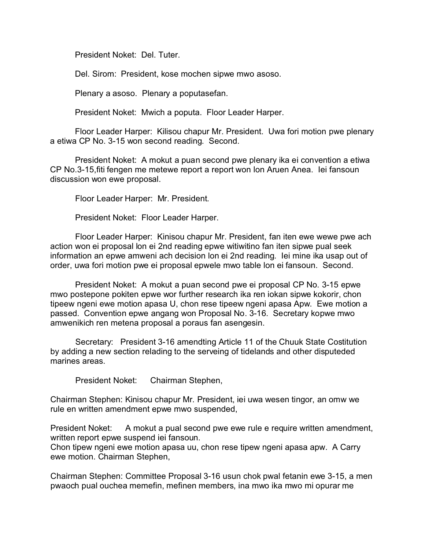President Noket: Del. Tuter.

Del. Sirom: President, kose mochen sipwe mwo asoso.

Plenary a asoso. Plenary a poputasefan.

President Noket: Mwich a poputa. Floor Leader Harper.

Floor Leader Harper: Kilisou chapur Mr. President. Uwa fori motion pwe plenary a etiwa CP No. 3-15 won second reading. Second.

President Noket: A mokut a puan second pwe plenary ika ei convention a etiwa CP No.3-15,fiti fengen me metewe report a report won lon Aruen Anea. Iei fansoun discussion won ewe proposal.

Floor Leader Harper: Mr. President.

President Noket: Floor Leader Harper.

Floor Leader Harper: Kinisou chapur Mr. President, fan iten ewe wewe pwe ach action won ei proposal lon ei 2nd reading epwe witiwitino fan iten sipwe pual seek information an epwe amweni ach decision lon ei 2nd reading. Iei mine ika usap out of order, uwa fori motion pwe ei proposal epwele mwo table lon ei fansoun. Second.

President Noket: A mokut a puan second pwe ei proposal CP No. 3-15 epwe mwo postepone pokiten epwe wor further research ika ren iokan sipwe kokorir, chon tipeew ngeni ewe motion apasa U, chon rese tipeew ngeni apasa Apw. Ewe motion a passed. Convention epwe angang won Proposal No. 3-16. Secretary kopwe mwo amwenikich ren metena proposal a poraus fan asengesin.

Secretary: President 3-16 amendting Article 11 of the Chuuk State Costitution by adding a new section relading to the serveing of tidelands and other disputeded marines areas.

President Noket: Chairman Stephen,

Chairman Stephen: Kinisou chapur Mr. President, iei uwa wesen tingor, an omw we rule en written amendment epwe mwo suspended,

President Noket: A mokut a pual second pwe ewe rule e require written amendment, written report epwe suspend iei fansoun.

Chon tipew ngeni ewe motion apasa uu, chon rese tipew ngeni apasa apw. A Carry ewe motion. Chairman Stephen,

Chairman Stephen: Committee Proposal 3-16 usun chok pwal fetanin ewe 3-15, a men pwaoch pual ouchea memefin, mefinen members, ina mwo ika mwo mi opurar me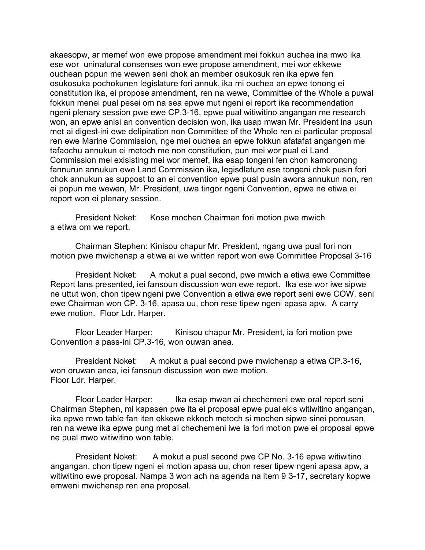akaesopw, ar memef won ewe propose amendment mei fokkun auchea ina mwo ika ese wor uninatural consenses won ewe propose amendment, mei wor ekkewe ouchean popun me wewen seni chok an member osukosuk ren ika epwe fen osukosuka pochokunen legislature fori annuk, ika mi ouchea an epwe tonong ei constitution ika, ei propose amendment, ren na wewe, Committee of the Whole a puwal fokkun menei pual pesei om na sea epwe mut ngeni ei report ika recommendation ngeni plenary session pwe ewe CP.3-16, epwe pual witiwitino angangan me research won, an epwe anisi an convention decision won, ika usap mwan Mr. President ina usun met ai digest-ini ewe delipiration non Committee of the Whole ren ei particular proposal ren ewe Marine Commission, nge mei ouchea an epwe fokkun afatafat angangen me tafaochu annukun ei metoch me non constitution, pun mei wor pual ei Land Commission mei exisisting mei wor memef, ika esap tongeni fen chon kamoronong fannurun annukun ewe Land Commission ika, legisdlature ese tongeni chok pusin fori chok annukun as suppost to an ei convention epwe pual pusin awora annukun non, ren ei popun me wewen, Mr. President, uwa tingor ngeni Convention, epwe ne etiwa ei report won ei plenary session.

President Noket: Kose mochen Chairman fori motion pwe mwich a etiwa om we report.

Chairman Stephen: Kinisou chapur Mr. President, ngang uwa pual fori non motion pwe mwichenap a etiwa ai we written report won ewe Committee Proposal 3-16

President Noket: A mokut a pual second, pwe mwich a etiwa ewe Committee Report lans presented, iei fansoun discussion won ewe report. Ika ese wor iwe sipwe ne uttut won, chon tipew ngeni pwe Convention a etiwa ewe report seni ewe COW, seni ewe Chairman won CP. 3-16, apasa uu, chon rese tipew ngeni apasa apw. A carry ewe motion. Floor Ldr. Harper.

Floor Leader Harper: Kinisou chapur Mr. President, ia fori motion pwe Convention a pass-ini CP.3-16, won ouwan anea.

President Noket: A mokut a pual second pwe mwichenap a etiwa CP.3-16, won oruwan anea, iei fansoun discussion won ewe motion. Floor Ldr. Harper.

Floor Leader Harper: Ika esap mwan ai chechemeni ewe oral report seni Chairman Stephen, mi kapasen pwe ita ei proposal epwe pual ekis witiwitino angangan, ika epwe mwo table fan iten ekkewe ekkoch metoch si mochen sipwe sinei porousan, ren na wewe ika epwe pung met ai chechemeni iwe ia fori motion pwe ei proposal epwe ne pual mwo witiwitino won table.

President Noket: A mokut a pual second pwe CP No. 3-16 epwe witiwitino angangan, chon tipew ngeni ei motion apasa uu, chon reser tipew ngeni apasa apw, a witiwitino ewe proposal. Nampa 3 won ach na agenda na item 9 3-17, secretary kopwe emweni mwichenap ren ena proposal.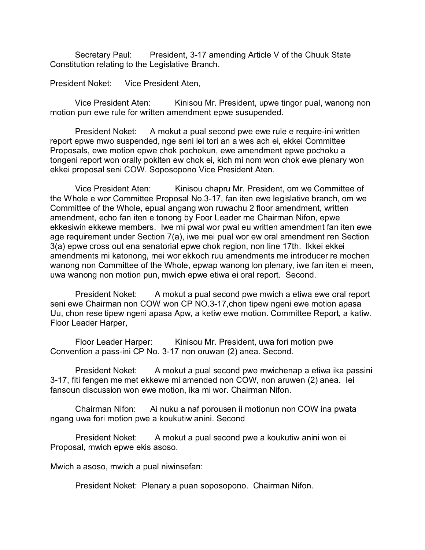Secretary Paul: President, 3-17 amending Article V of the Chuuk State Constitution relating to the Legislative Branch.

President Noket: Vice President Aten,

Vice President Aten: Kinisou Mr. President, upwe tingor pual, wanong non motion pun ewe rule for written amendment epwe susupended.

President Noket: A mokut a pual second pwe ewe rule e require-ini written report epwe mwo suspended, nge seni iei tori an a wes ach ei, ekkei Committee Proposals, ewe motion epwe chok pochokun, ewe amendment epwe pochoku a tongeni report won orally pokiten ew chok ei, kich mi nom won chok ewe plenary won ekkei proposal seni COW. Soposopono Vice President Aten.

Vice President Aten: Kinisou chapru Mr. President, om we Committee of the Whole e wor Committee Proposal No.3-17, fan iten ewe legislative branch, om we Committee of the Whole, epual angang won ruwachu 2 floor amendment, written amendment, echo fan iten e tonong by Foor Leader me Chairman Nifon, epwe ekkesiwin ekkewe members. Iwe mi pwal wor pwal eu written amendment fan iten ewe age requirement under Section 7(a), iwe mei pual wor ew oral amendment ren Section 3(a) epwe cross out ena senatorial epwe chok region, non line 17th. Ikkei ekkei amendments mi katonong, mei wor ekkoch ruu amendments me introducer re mochen wanong non Committee of the Whole, epwap wanong lon plenary, iwe fan iten ei meen, uwa wanong non motion pun, mwich epwe etiwa ei oral report. Second.

President Noket: A mokut a pual second pwe mwich a etiwa ewe oral report seni ewe Chairman non COW won CP NO.3-17,chon tipew ngeni ewe motion apasa Uu, chon rese tipew ngeni apasa Apw, a ketiw ewe motion. Committee Report, a katiw. Floor Leader Harper,

Floor Leader Harper: Kinisou Mr. President, uwa fori motion pwe Convention a pass-ini CP No. 3-17 non oruwan (2) anea. Second.

President Noket: A mokut a pual second pwe mwichenap a etiwa ika passini 3-17, fiti fengen me met ekkewe mi amended non COW, non aruwen (2) anea. Iei fansoun discussion won ewe motion, ika mi wor. Chairman Nifon.

Chairman Nifon: Ai nuku a naf porousen ii motionun non COW ina pwata ngang uwa fori motion pwe a koukutiw anini. Second

President Noket: A mokut a pual second pwe a koukutiw anini won ei Proposal, mwich epwe ekis asoso.

Mwich a asoso, mwich a pual niwinsefan:

President Noket: Plenary a puan soposopono. Chairman Nifon.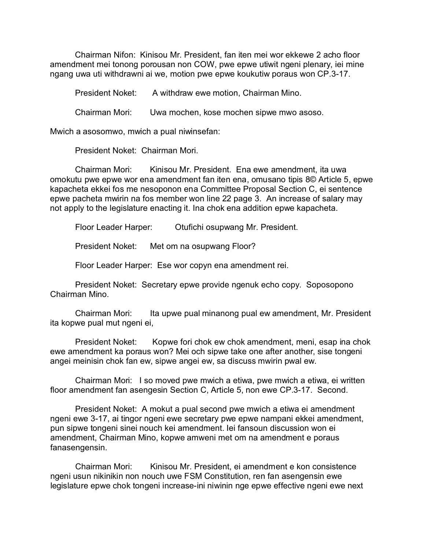Chairman Nifon: Kinisou Mr. President, fan iten mei wor ekkewe 2 acho floor amendment mei tonong porousan non COW, pwe epwe utiwit ngeni plenary, iei mine ngang uwa uti withdrawni ai we, motion pwe epwe koukutiw poraus won CP.3-17.

President Noket: A withdraw ewe motion, Chairman Mino.

Chairman Mori: Uwa mochen, kose mochen sipwe mwo asoso.

Mwich a asosomwo, mwich a pual niwinsefan:

President Noket: Chairman Mori.

Chairman Mori: Kinisou Mr. President. Ena ewe amendment, ita uwa omokutu pwe epwe wor ena amendment fan iten ena, omusano tipis 8© Article 5, epwe kapacheta ekkei fos me nesoponon ena Committee Proposal Section C, ei sentence epwe pacheta mwirin na fos member won line 22 page 3. An increase of salary may not apply to the legislature enacting it. Ina chok ena addition epwe kapacheta.

Floor Leader Harper: Otufichi osupwang Mr. President.

President Noket: Met om na osupwang Floor?

Floor Leader Harper: Ese wor copyn ena amendment rei.

President Noket: Secretary epwe provide ngenuk echo copy. Soposopono Chairman Mino.

Chairman Mori: Ita upwe pual minanong pual ew amendment, Mr. President ita kopwe pual mut ngeni ei,

President Noket: Kopwe fori chok ew chok amendment, meni, esap ina chok ewe amendment ka poraus won? Mei och sipwe take one after another, sise tongeni angei meinisin chok fan ew, sipwe angei ew, sa discuss mwirin pwal ew.

Chairman Mori: I so moved pwe mwich a etiwa, pwe mwich a etiwa, ei written floor amendment fan asengesin Section C, Article 5, non ewe CP.3-17. Second.

President Noket: A mokut a pual second pwe mwich a etiwa ei amendment ngeni ewe 3-17, ai tingor ngeni ewe secretary pwe epwe nampani ekkei amendment, pun sipwe tongeni sinei nouch kei amendment. Iei fansoun discussion won ei amendment, Chairman Mino, kopwe amweni met om na amendment e poraus fanasengensin.

Chairman Mori: Kinisou Mr. President, ei amendment e kon consistence ngeni usun nikinikin non nouch uwe FSM Constitution, ren fan asengensin ewe legislature epwe chok tongeni increase-ini niwinin nge epwe effective ngeni ewe next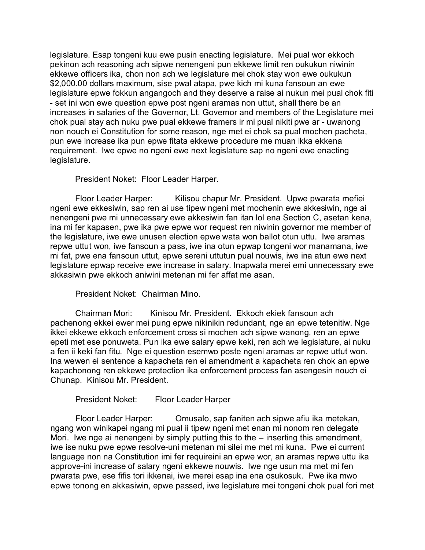legislature. Esap tongeni kuu ewe pusin enacting legislature. Mei pual wor ekkoch pekinon ach reasoning ach sipwe nenengeni pun ekkewe limit ren oukukun niwinin ekkewe officers ika, chon non ach we legislature mei chok stay won ewe oukukun \$2,000.00 dollars maximum, sise pwal atapa, pwe kich mi kuna fansoun an ewe legislature epwe fokkun angangoch and they deserve a raise ai nukun mei pual chok fiti - set ini won ewe question epwe post ngeni aramas non uttut, shall there be an increases in salaries of the Governor, Lt. Governor and members of the Legislature mei chok pual stay ach nuku pwe pual ekkewe framers ir mi pual nikiti pwe ar - uwanong non nouch ei Constitution for some reason, nge met ei chok sa pual mochen pacheta, pun ewe increase ika pun epwe fitata ekkewe procedure me muan ikka ekkena requirement. Iwe epwe no ngeni ewe next legislature sap no ngeni ewe enacting legislature.

President Noket: Floor Leader Harper.

Floor Leader Harper: Kilisou chapur Mr. President. Upwe pwarata mefiei ngeni ewe ekkesiwin, sap ren ai use tipew ngeni met mochenin ewe akkesiwin, nge ai nenengeni pwe mi unnecessary ewe akkesiwin fan itan lol ena Section C, asetan kena, ina mi fer kapasen, pwe ika pwe epwe wor request ren niwinin governor me member of the legislature, iwe ewe unusen election epwe wata won ballot otun uttu. Iwe aramas repwe uttut won, iwe fansoun a pass, iwe ina otun epwap tongeni wor manamana, iwe mi fat, pwe ena fansoun uttut, epwe sereni uttutun pual nouwis, iwe ina atun ewe next legislature epwap receive ewe increase in salary. Inapwata merei emi unnecessary ewe akkasiwin pwe ekkoch aniwini metenan mi fer affat me asan.

President Noket: Chairman Mino.

Chairman Mori: Kinisou Mr. President. Ekkoch ekiek fansoun ach pachenong ekkei ewer mei pung epwe nikinikin redundant, nge an epwe tetenitiw. Nge ikkei ekkewe ekkoch enforcement cross si mochen ach sipwe wanong, ren an epwe epeti met ese ponuweta. Pun ika ewe salary epwe keki, ren ach we legislature, ai nuku a fen ii keki fan fitu. Nge ei question esemwo poste ngeni aramas ar repwe uttut won. Ina wewen ei sentence a kapacheta ren ei amendment a kapacheta ren chok an epwe kapachonong ren ekkewe protection ika enforcement process fan asengesin nouch ei Chunap. Kinisou Mr. President.

President Noket: Floor Leader Harper

Floor Leader Harper: Omusalo, sap faniten ach sipwe afiu ika metekan, ngang won winikapei ngang mi pual ii tipew ngeni met enan mi nonom ren delegate Mori. Iwe nge ai nenengeni by simply putting this to the -- inserting this amendment, iwe ise nuku pwe epwe resolve-uni metenan mi silei me met mi kuna. Pwe ei current language non na Constitution imi fer requireini an epwe wor, an aramas repwe uttu ika approve-ini increase of salary ngeni ekkewe nouwis. Iwe nge usun ma met mi fen pwarata pwe, ese fifis tori ikkenai, iwe merei esap ina ena osukosuk. Pwe ika mwo epwe tonong en akkasiwin, epwe passed, iwe legislature mei tongeni chok pual fori met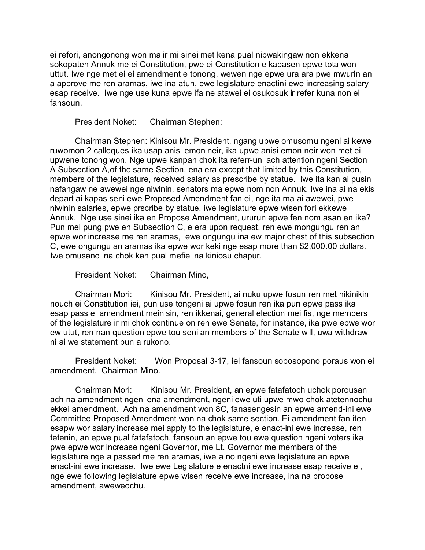ei refori, anongonong won ma ir mi sinei met kena pual nipwakingaw non ekkena sokopaten Annuk me ei Constitution, pwe ei Constitution e kapasen epwe tota won uttut. Iwe nge met ei ei amendment e tonong, wewen nge epwe ura ara pwe mwurin an a approve me ren aramas, iwe ina atun, ewe legislature enactini ewe increasing salary esap receive. Iwe nge use kuna epwe ifa ne atawei ei osukosuk ir refer kuna non ei fansoun.

President Noket: Chairman Stephen:

Chairman Stephen: Kinisou Mr. President, ngang upwe omusomu ngeni ai kewe ruwomon 2 calleques ika usap anisi emon neir, ika upwe anisi emon neir won met ei upwene tonong won. Nge upwe kanpan chok ita referr-uni ach attention ngeni Section A Subsection A,of the same Section, ena era except that limited by this Constitution, members of the legislature, received salary as prescribe by statue. Iwe ita kan ai pusin nafangaw ne awewei nge niwinin, senators ma epwe nom non Annuk. Iwe ina ai na ekis depart ai kapas seni ewe Proposed Amendment fan ei, nge ita ma ai awewei, pwe niwinin salaries, epwe prscribe by statue, iwe legislature epwe wisen fori ekkewe Annuk. Nge use sinei ika en Propose Amendment, ururun epwe fen nom asan en ika? Pun mei pung pwe en Subsection C, e era upon request, ren ewe mongungu ren an epwe wor increase me ren aramas, ewe ongungu ina ew major chest of this subsection C, ewe ongungu an aramas ika epwe wor keki nge esap more than \$2,000.00 dollars. Iwe omusano ina chok kan pual mefiei na kiniosu chapur.

President Noket: Chairman Mino,

Chairman Mori: Kinisou Mr. President, ai nuku upwe fosun ren met nikinikin nouch ei Constitution iei, pun use tongeni ai upwe fosun ren ika pun epwe pass ika esap pass ei amendment meinisin, ren ikkenai, general election mei fis, nge members of the legislature ir mi chok continue on ren ewe Senate, for instance, ika pwe epwe wor ew utut, ren nan question epwe tou seni an members of the Senate will, uwa withdraw ni ai we statement pun a rukono.

President Noket: Won Proposal 3-17, iei fansoun soposopono poraus won ei amendment. Chairman Mino.

Chairman Mori: Kinisou Mr. President, an epwe fatafatoch uchok porousan ach na amendment ngeni ena amendment, ngeni ewe uti upwe mwo chok atetennochu ekkei amendment. Ach na amendment won 8C, fanasengesin an epwe amend-ini ewe Committee Proposed Amendment won na chok same section. Ei amendment fan iten esapw wor salary increase mei apply to the legislature, e enact-ini ewe increase, ren tetenin, an epwe pual fatafatoch, fansoun an epwe tou ewe question ngeni voters ika pwe epwe wor increase ngeni Governor, me Lt. Governor me members of the legislature nge a passed me ren aramas, iwe a no ngeni ewe legislature an epwe enact-ini ewe increase. Iwe ewe Legislature e enactni ewe increase esap receive ei, nge ewe following legislature epwe wisen receive ewe increase, ina na propose amendment, aweweochu.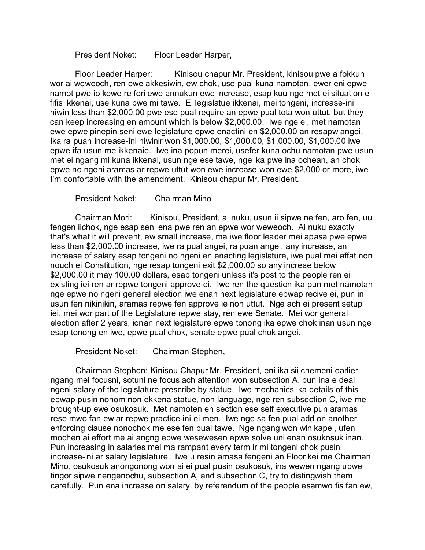President Noket: Floor Leader Harper,

Floor Leader Harper: Kinisou chapur Mr. President, kinisou pwe a fokkun wor ai weweoch, ren ewe akkesiwin, ew chok, use pual kuna namotan, ewer eni epwe namot pwe io kewe re fori ewe annukun ewe increase, esap kuu nge met ei situation e fifis ikkenai, use kuna pwe mi tawe. Ei legislatue ikkenai, mei tongeni, increase-ini niwin less than \$2,000.00 pwe ese pual require an epwe pual tota won uttut, but they can keep increasing en amount which is below \$2,000.00. Iwe nge ei, met namotan ewe epwe pinepin seni ewe legislature epwe enactini en \$2,000.00 an resapw angei. Ika ra puan increase-ini niwinir won \$1,000.00, \$1,000.00, \$1,000.00, \$1,000.00 iwe epwe ifa usun me ikkenaie. Iwe ina popun merei, usefer kuna ochu namotan pwe usun met ei ngang mi kuna ikkenai, usun nge ese tawe, nge ika pwe ina ochean, an chok epwe no ngeni aramas ar repwe uttut won ewe increase won ewe \$2,000 or more, iwe I'm confortable with the amendment. Kinisou chapur Mr. President.

President Noket: Chairman Mino

Chairman Mori: Kinisou, President, ai nuku, usun ii sipwe ne fen, aro fen, uu fengen iichok, nge esap seni ena pwe ren an epwe wor weweoch. Ai nuku exactly that's what it will prevent, ew small increase, ma iwe floor leader mei apasa pwe epwe less than \$2,000.00 increase, iwe ra pual angei, ra puan angei, any increase, an increase of salary esap tongeni no ngeni en enacting legislature, iwe pual mei affat non nouch ei Constitution, nge resap tongeni exit \$2,000.00 so any increae below \$2,000.00 it may 100.00 dollars, esap tongeni unless it's post to the people ren ei existing iei ren ar repwe tongeni approve-ei. Iwe ren the question ika pun met namotan nge epwe no ngeni general election iwe enan next legislature epwap recive ei, pun in usun fen nikinikin, aramas repwe fen approve ie non uttut. Nge ach ei present setup iei, mei wor part of the Legislature repwe stay, ren ewe Senate. Mei wor general election after 2 years, ionan next legislature epwe tonong ika epwe chok inan usun nge esap tonong en iwe, epwe pual chok, senate epwe pual chok angei.

President Noket: Chairman Stephen,

Chairman Stephen: Kinisou Chapur Mr. President, eni ika sii chemeni earlier ngang mei focusni, sotuni ne focus ach attention won subsection A, pun ina e deal ngeni salary of the legislature prescribe by statue. Iwe mechanics ika details of this epwap pusin nonom non ekkena statue, non language, nge ren subsection C, iwe mei brought-up ewe osukosuk. Met namoten en section ese self executive pun aramas rese mwo fan ew ar repwe practice-ini ei men. Iwe nge sa fen pual add on another enforcing clause nonochok me ese fen pual tawe. Nge ngang won winikapei, ufen mochen ai effort me ai angng epwe wesewesen epwe solve uni enan osukosuk inan. Pun increasing in salaries mei ma rampant every term ir mi tongeni chok pusin increase-ini ar salary legislature. Iwe u resin amasa fengeni an Floor kei me Chairman Mino, osukosuk anongonong won ai ei pual pusin osukosuk, ina wewen ngang upwe tingor sipwe nengenochu, subsection A, and subsection C, try to distingwish them carefully. Pun ena increase on salary, by referendum of the people esamwo fis fan ew,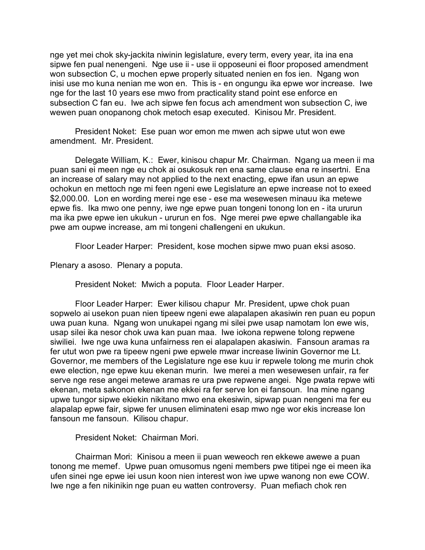nge yet mei chok sky-jackita niwinin legislature, every term, every year, ita ina ena sipwe fen pual nenengeni. Nge use ii - use ii opposeuni ei floor proposed amendment won subsection C, u mochen epwe properly situated nenien en fos ien. Ngang won inisi use mo kuna nenian me won en. This is - en ongungu ika epwe wor increase. Iwe nge for the last 10 years ese mwo from practicality stand point ese enforce en subsection C fan eu. Iwe ach sipwe fen focus ach amendment won subsection C, iwe wewen puan onopanong chok metoch esap executed. Kinisou Mr. President.

President Noket: Ese puan wor emon me mwen ach sipwe utut won ewe amendment. Mr. President.

Delegate William, K.: Ewer, kinisou chapur Mr. Chairman. Ngang ua meen ii ma puan sani ei meen nge eu chok ai osukosuk ren ena same clause ena re insertni. Ena an increase of salary may not applied to the next enacting, epwe ifan usun an epwe ochokun en mettoch nge mi feen ngeni ewe Legislature an epwe increase not to exeed \$2,000.00. Lon en wording merei nge ese - ese ma wesewesen minauu ika metewe epwe fis. Ika mwo one penny, iwe nge epwe puan tongeni tonong lon en - ita ururun ma ika pwe epwe ien ukukun - ururun en fos. Nge merei pwe epwe challangable ika pwe am oupwe increase, am mi tongeni challengeni en ukukun.

Floor Leader Harper: President, kose mochen sipwe mwo puan eksi asoso.

Plenary a asoso. Plenary a poputa.

President Noket: Mwich a poputa. Floor Leader Harper.

Floor Leader Harper: Ewer kilisou chapur Mr. President, upwe chok puan sopwelo ai usekon puan nien tipeew ngeni ewe alapalapen akasiwin ren puan eu popun uwa puan kuna. Ngang won unukapei ngang mi silei pwe usap namotam lon ewe wis, usap silei ika nesor chok uwa kan puan maa. Iwe iokona repwene tolong repwene siwiliei. Iwe nge uwa kuna unfairness ren ei alapalapen akasiwin. Fansoun aramas ra fer utut won pwe ra tipeew ngeni pwe epwele mwar increase liwinin Governor me Lt. Governor, me members of the Legislature nge ese kuu ir repwele tolong me murin chok ewe election, nge epwe kuu ekenan murin. Iwe merei a men wesewesen unfair, ra fer serve nge rese angei metewe aramas re ura pwe repwene angei. Nge pwata repwe witi ekenan, meta sakonon ekenan me ekkei ra fer serve lon ei fansoun. Ina mine ngang upwe tungor sipwe ekiekin nikitano mwo ena ekesiwin, sipwap puan nengeni ma fer eu alapalap epwe fair, sipwe fer unusen eliminateni esap mwo nge wor ekis increase lon fansoun me fansoun. Kilisou chapur.

President Noket: Chairman Mori.

Chairman Mori: Kinisou a meen ii puan weweoch ren ekkewe awewe a puan tonong me memef. Upwe puan omusomus ngeni members pwe titipei nge ei meen ika ufen sinei nge epwe iei usun koon nien interest won iwe upwe wanong non ewe COW. Iwe nge a fen nikinikin nge puan eu watten controversy. Puan mefiach chok ren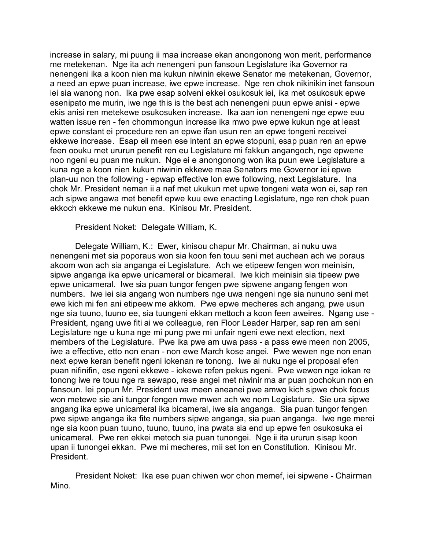increase in salary, mi puung ii maa increase ekan anongonong won merit, performance me metekenan. Nge ita ach nenengeni pun fansoun Legislature ika Governor ra nenengeni ika a koon nien ma kukun niwinin ekewe Senator me metekenan, Governor, a need an epwe puan increase, iwe epwe increase. Nge ren chok nikinikin inet fansoun iei sia wanong non. Ika pwe esap solveni ekkei osukosuk iei, ika met osukosuk epwe esenipato me murin, iwe nge this is the best ach nenengeni puun epwe anisi - epwe ekis anisi ren metekewe osukosuken increase. Ika aan ion nenengeni nge epwe euu watten issue ren - fen chommongun increase ika mwo pwe epwe kukun nge at least epwe constant ei procedure ren an epwe ifan usun ren an epwe tongeni receivei ekkewe increase. Esap eii meen ese intent an epwe stopuni, esap puan ren an epwe feen oouku met ururun penefit ren eu Legislature mi fakkun angangoch, nge epwene noo ngeni eu puan me nukun. Nge ei e anongonong won ika puun ewe Legislature a kuna nge a koon nien kukun niwinin ekkewe maa Senators me Governor iei epwe plan-uu non the following - epwap effective lon ewe following, next Legislature. Ina chok Mr. President neman ii a naf met ukukun met upwe tongeni wata won ei, sap ren ach sipwe angawa met benefit epwe kuu ewe enacting Legislature, nge ren chok puan ekkoch ekkewe me nukun ena. Kinisou Mr. President.

President Noket: Delegate William, K.

Delegate William, K.: Ewer, kinisou chapur Mr. Chairman, ai nuku uwa nenengeni met sia poporaus won sia koon fen touu seni met auchean ach we poraus akoom won ach sia anganga ei Legislature. Ach we etipeew fengen won meinisin, sipwe anganga ika epwe unicameral or bicameral. Iwe kich meinisin sia tipeew pwe epwe unicameral. Iwe sia puan tungor fengen pwe sipwene angang fengen won numbers. Iwe iei sia angang won numbers nge uwa nengeni nge sia nununo seni met ewe kich mi fen ani etipeew me akkom. Pwe epwe mecheres ach angang, pwe usun nge sia tuuno, tuuno ee, sia tuungeni ekkan mettoch a koon feen aweires. Ngang use - President, ngang uwe fiti ai we colleague, ren Floor Leader Harper, sap ren am seni Legislature nge u kuna nge mi pung pwe mi unfair ngeni ewe next election, next members of the Legislature. Pwe ika pwe am uwa pass - a pass ewe meen non 2005, iwe a effective, etto non enan - non ewe March kose angei. Pwe wewen nge non enan next epwe keran benefit ngeni iokenan re tonong. Iwe ai nuku nge ei proposal efen puan nifinifin, ese ngeni ekkewe - iokewe refen pekus ngeni. Pwe wewen nge iokan re tonong iwe re touu nge ra sewapo, rese angei met niwinir ma ar puan pochokun non en fansoun. Iei popun Mr. President uwa meen aneanei pwe amwo kich sipwe chok focus won metewe sie ani tungor fengen mwe mwen ach we nom Legislature. Sie ura sipwe angang ika epwe unicameral ika bicameral, iwe sia anganga. Sia puan tungor fengen pwe sipwe anganga ika fite numbers sipwe anganga, sia puan anganga. Iwe nge merei nge sia koon puan tuuno, tuuno, tuuno, ina pwata sia end up epwe fen osukosuka ei unicameral. Pwe ren ekkei metoch sia puan tunongei. Nge ii ita ururun sisap koon upan ii tunongei ekkan. Pwe mi mecheres, mii set lon en Constitution. Kinisou Mr. President.

President Noket: Ika ese puan chiwen wor chon memef, iei sipwene - Chairman Mino.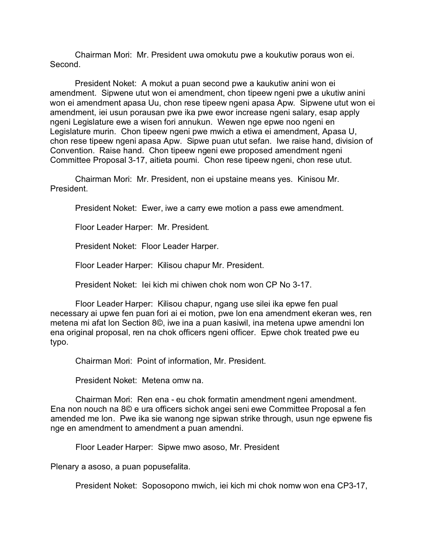Chairman Mori: Mr. President uwa omokutu pwe a koukutiw poraus won ei. Second.

President Noket: A mokut a puan second pwe a kaukutiw anini won ei amendment. Sipwene utut won ei amendment, chon tipeew ngeni pwe a ukutiw anini won ei amendment apasa Uu, chon rese tipeew ngeni apasa Apw. Sipwene utut won ei amendment, iei usun porausan pwe ika pwe ewor increase ngeni salary, esap apply ngeni Legislature ewe a wisen fori annukun. Wewen nge epwe noo ngeni en Legislature murin. Chon tipeew ngeni pwe mwich a etiwa ei amendment, Apasa U, chon rese tipeew ngeni apasa Apw. Sipwe puan utut sefan. Iwe raise hand, division of Convention. Raise hand. Chon tipeew ngeni ewe proposed amendment ngeni Committee Proposal 3-17, aitieta poumi. Chon rese tipeew ngeni, chon rese utut.

Chairman Mori: Mr. President, non ei upstaine means yes. Kinisou Mr. President.

President Noket: Ewer, iwe a carry ewe motion a pass ewe amendment.

Floor Leader Harper: Mr. President.

President Noket: Floor Leader Harper.

Floor Leader Harper: Kilisou chapur Mr. President.

President Noket: Iei kich mi chiwen chok nom won CP No 3-17.

Floor Leader Harper: Kilisou chapur, ngang use silei ika epwe fen pual necessary ai upwe fen puan fori ai ei motion, pwe lon ena amendment ekeran wes, ren metena mi afat lon Section 8©, iwe ina a puan kasiwil, ina metena upwe amendni lon ena original proposal, ren na chok officers ngeni officer. Epwe chok treated pwe eu typo.

Chairman Mori: Point of information, Mr. President.

President Noket: Metena omw na.

Chairman Mori: Ren ena - eu chok formatin amendment ngeni amendment. Ena non nouch na 8© e ura officers sichok angei seni ewe Committee Proposal a fen amended me lon. Pwe ika sie wanong nge sipwan strike through, usun nge epwene fis nge en amendment to amendment a puan amendni.

Floor Leader Harper: Sipwe mwo asoso, Mr. President

Plenary a asoso, a puan popusefalita.

President Noket: Soposopono mwich, iei kich mi chok nomw won ena CP3-17,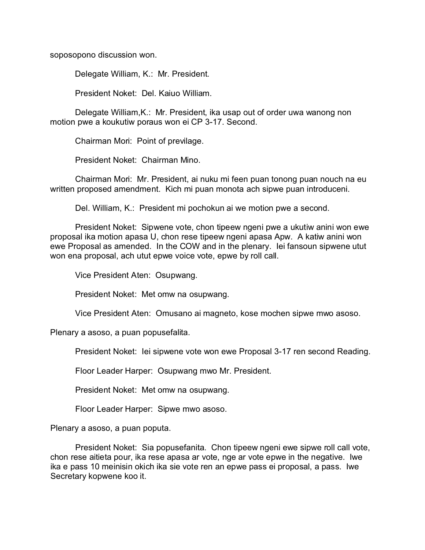soposopono discussion won.

Delegate William, K.: Mr. President.

President Noket: Del. Kaiuo William.

Delegate William,K.: Mr. President, ika usap out of order uwa wanong non motion pwe a koukutiw poraus won ei CP 3-17. Second.

Chairman Mori: Point of previlage.

President Noket: Chairman Mino.

Chairman Mori: Mr. President, ai nuku mi feen puan tonong puan nouch na eu written proposed amendment. Kich mi puan monota ach sipwe puan introduceni.

Del. William, K.: President mi pochokun ai we motion pwe a second.

President Noket: Sipwene vote, chon tipeew ngeni pwe a ukutiw anini won ewe proposal ika motion apasa U, chon rese tipeew ngeni apasa Apw. A katiw anini won ewe Proposal as amended. In the COW and in the plenary. Iei fansoun sipwene utut won ena proposal, ach utut epwe voice vote, epwe by roll call.

Vice President Aten: Osupwang.

President Noket: Met omw na osupwang.

Vice President Aten: Omusano ai magneto, kose mochen sipwe mwo asoso.

Plenary a asoso, a puan popusefalita.

President Noket: Iei sipwene vote won ewe Proposal 3-17 ren second Reading.

Floor Leader Harper: Osupwang mwo Mr. President.

President Noket: Met omw na osupwang.

Floor Leader Harper: Sipwe mwo asoso.

Plenary a asoso, a puan poputa.

President Noket: Sia popusefanita. Chon tipeew ngeni ewe sipwe roll call vote, chon rese aitieta pour, ika rese apasa ar vote, nge ar vote epwe in the negative. Iwe ika e pass 10 meinisin okich ika sie vote ren an epwe pass ei proposal, a pass. Iwe Secretary kopwene koo it.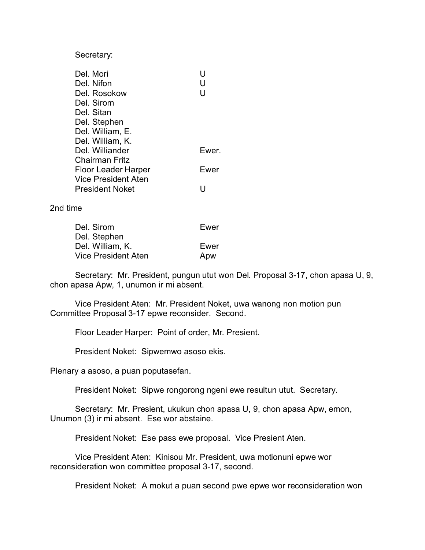Secretary:

| Del. Mori                  | H     |
|----------------------------|-------|
| Del. Nifon                 | U     |
| Del. Rosokow               | U     |
| Del. Sirom                 |       |
| Del. Sitan                 |       |
| Del. Stephen               |       |
| Del. William, E.           |       |
| Del. William, K.           |       |
| Del. Williander            | Ewer. |
| Chairman Fritz             |       |
| <b>Floor Leader Harper</b> | Ewer  |
| Vice President Aten        |       |
| <b>President Noket</b>     |       |

2nd time

| Del. Sirom          | Ewer |
|---------------------|------|
| Del. Stephen        |      |
| Del. William, K.    | Ewer |
| Vice President Aten | Apw  |

Secretary: Mr. President, pungun utut won Del. Proposal 3-17, chon apasa U, 9, chon apasa Apw, 1, unumon ir mi absent.

Vice President Aten: Mr. President Noket, uwa wanong non motion pun Committee Proposal 3-17 epwe reconsider. Second.

Floor Leader Harper: Point of order, Mr. Presient.

President Noket: Sipwemwo asoso ekis.

Plenary a asoso, a puan poputasefan.

President Noket: Sipwe rongorong ngeni ewe resultun utut. Secretary.

Secretary: Mr. Presient, ukukun chon apasa U, 9, chon apasa Apw, emon, Unumon (3) ir mi absent. Ese wor abstaine.

President Noket: Ese pass ewe proposal. Vice Presient Aten.

Vice President Aten: Kinisou Mr. President, uwa motionuni epwe wor reconsideration won committee proposal 3-17, second.

President Noket: A mokut a puan second pwe epwe wor reconsideration won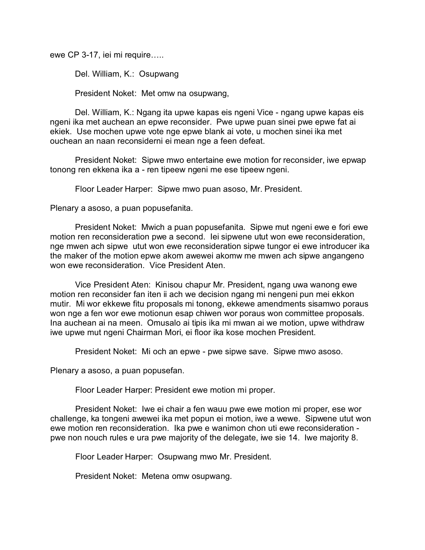ewe CP 3-17, iei mi require…..

Del. William, K.: Osupwang

President Noket: Met omw na osupwang,

Del. William, K.: Ngang ita upwe kapas eis ngeni Vice - ngang upwe kapas eis ngeni ika met auchean an epwe reconsider. Pwe upwe puan sinei pwe epwe fat ai ekiek. Use mochen upwe vote nge epwe blank ai vote, u mochen sinei ika met ouchean an naan reconsiderni ei mean nge a feen defeat.

President Noket: Sipwe mwo entertaine ewe motion for reconsider, iwe epwap tonong ren ekkena ika a - ren tipeew ngeni me ese tipeew ngeni.

Floor Leader Harper: Sipwe mwo puan asoso, Mr. President.

Plenary a asoso, a puan popusefanita.

President Noket: Mwich a puan popusefanita. Sipwe mut ngeni ewe e fori ewe motion ren reconsideration pwe a second. Iei sipwene utut won ewe reconsideration, nge mwen ach sipwe utut won ewe reconsideration sipwe tungor ei ewe introducer ika the maker of the motion epwe akom awewei akomw me mwen ach sipwe angangeno won ewe reconsideration. Vice President Aten.

Vice President Aten: Kinisou chapur Mr. President, ngang uwa wanong ewe motion ren reconsider fan iten ii ach we decision ngang mi nengeni pun mei ekkon mutir. Mi wor ekkewe fitu proposals mi tonong, ekkewe amendments sisamwo poraus won nge a fen wor ewe motionun esap chiwen wor poraus won committee proposals. Ina auchean ai na meen. Omusalo ai tipis ika mi mwan ai we motion, upwe withdraw iwe upwe mut ngeni Chairman Mori, ei floor ika kose mochen President.

President Noket: Mi och an epwe - pwe sipwe save. Sipwe mwo asoso.

Plenary a asoso, a puan popusefan.

Floor Leader Harper: President ewe motion mi proper.

President Noket: Iwe ei chair a fen wauu pwe ewe motion mi proper, ese wor challenge, ka tongeni awewei ika met popun ei motion, iwe a wewe. Sipwene utut won ewe motion ren reconsideration. Ika pwe e wanimon chon uti ewe reconsideration pwe non nouch rules e ura pwe majority of the delegate, iwe sie 14. Iwe majority 8.

Floor Leader Harper: Osupwang mwo Mr. President.

President Noket: Metena omw osupwang.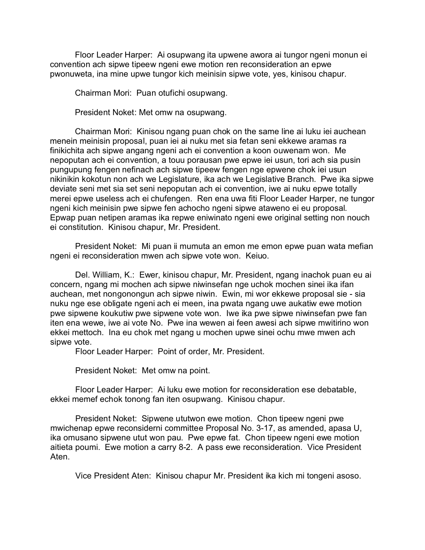Floor Leader Harper: Ai osupwang ita upwene awora ai tungor ngeni monun ei convention ach sipwe tipeew ngeni ewe motion ren reconsideration an epwe pwonuweta, ina mine upwe tungor kich meinisin sipwe vote, yes, kinisou chapur.

Chairman Mori: Puan otufichi osupwang.

President Noket: Met omw na osupwang.

Chairman Mori: Kinisou ngang puan chok on the same line ai luku iei auchean menein meinisin proposal, puan iei ai nuku met sia fetan seni ekkewe aramas ra finikichita ach sipwe angang ngeni ach ei convention a koon ouwenam won. Me nepoputan ach ei convention, a touu porausan pwe epwe iei usun, tori ach sia pusin pungupung fengen nefinach ach sipwe tipeew fengen nge epwene chok iei usun nikinikin kokotun non ach we Legislature, ika ach we Legislative Branch. Pwe ika sipwe deviate seni met sia set seni nepoputan ach ei convention, iwe ai nuku epwe totally merei epwe useless ach ei chufengen. Ren ena uwa fiti Floor Leader Harper, ne tungor ngeni kich meinisin pwe sipwe fen achocho ngeni sipwe ataweno ei eu proposal. Epwap puan netipen aramas ika repwe eniwinato ngeni ewe original setting non nouch ei constitution. Kinisou chapur, Mr. President.

President Noket: Mi puan ii mumuta an emon me emon epwe puan wata mefian ngeni ei reconsideration mwen ach sipwe vote won. Keiuo.

Del. William, K.: Ewer, kinisou chapur, Mr. President, ngang inachok puan eu ai concern, ngang mi mochen ach sipwe niwinsefan nge uchok mochen sinei ika ifan auchean, met nongonongun ach sipwe niwin. Ewin, mi wor ekkewe proposal sie - sia nuku nge ese obligate ngeni ach ei meen, ina pwata ngang uwe aukatiw ewe motion pwe sipwene koukutiw pwe sipwene vote won. Iwe ika pwe sipwe niwinsefan pwe fan iten ena wewe, iwe ai vote No. Pwe ina wewen ai feen awesi ach sipwe mwitirino won ekkei mettoch. Ina eu chok met ngang u mochen upwe sinei ochu mwe mwen ach sipwe vote.

Floor Leader Harper: Point of order, Mr. President.

President Noket: Met omw na point.

Floor Leader Harper: Ai luku ewe motion for reconsideration ese debatable, ekkei memef echok tonong fan iten osupwang. Kinisou chapur.

President Noket: Sipwene ututwon ewe motion. Chon tipeew ngeni pwe mwichenap epwe reconsiderni committee Proposal No. 3-17, as amended, apasa U, ika omusano sipwene utut won pau. Pwe epwe fat. Chon tipeew ngeni ewe motion aitieta poumi. Ewe motion a carry 8-2. A pass ewe reconsideration. Vice President Aten.

Vice President Aten: Kinisou chapur Mr. President ika kich mi tongeni asoso.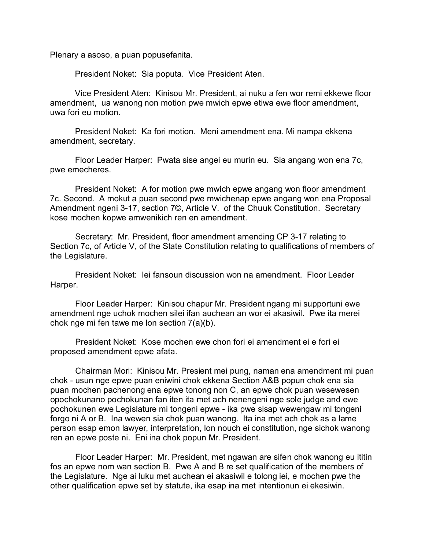Plenary a asoso, a puan popusefanita.

President Noket: Sia poputa. Vice President Aten.

Vice President Aten: Kinisou Mr. President, ai nuku a fen wor remi ekkewe floor amendment, ua wanong non motion pwe mwich epwe etiwa ewe floor amendment, uwa fori eu motion.

President Noket: Ka fori motion. Meni amendment ena. Mi nampa ekkena amendment, secretary.

Floor Leader Harper: Pwata sise angei eu murin eu. Sia angang won ena 7c, pwe emecheres.

President Noket: A for motion pwe mwich epwe angang won floor amendment 7c. Second. A mokut a puan second pwe mwichenap epwe angang won ena Proposal Amendment ngeni 3-17, section 7©, Article V. of the Chuuk Constitution. Secretary kose mochen kopwe amwenikich ren en amendment.

Secretary: Mr. President, floor amendment amending CP 3-17 relating to Section 7c, of Article V, of the State Constitution relating to qualifications of members of the Legislature.

President Noket: Iei fansoun discussion won na amendment. Floor Leader Harper.

Floor Leader Harper: Kinisou chapur Mr. President ngang mi supportuni ewe amendment nge uchok mochen silei ifan auchean an wor ei akasiwil. Pwe ita merei chok nge mi fen tawe me lon section 7(a)(b).

President Noket: Kose mochen ewe chon fori ei amendment ei e fori ei proposed amendment epwe afata.

Chairman Mori: Kinisou Mr. Presient mei pung, naman ena amendment mi puan chok - usun nge epwe puan eniwini chok ekkena Section A&B popun chok ena sia puan mochen pachenong ena epwe tonong non C, an epwe chok puan wesewesen opochokunano pochokunan fan iten ita met ach nenengeni nge sole judge and ewe pochokunen ewe Legislature mi tongeni epwe - ika pwe sisap wewengaw mi tongeni forgo ni A or B. Ina wewen sia chok puan wanong. Ita ina met ach chok as a lame person esap emon lawyer, interpretation, lon nouch ei constitution, nge sichok wanong ren an epwe poste ni. Eni ina chok popun Mr. President.

Floor Leader Harper: Mr. President, met ngawan are sifen chok wanong eu ititin fos an epwe nom wan section B. Pwe A and B re set qualification of the members of the Legislature. Nge ai luku met auchean ei akasiwil e tolong iei, e mochen pwe the other qualification epwe set by statute, ika esap ina met intentionun ei ekesiwin.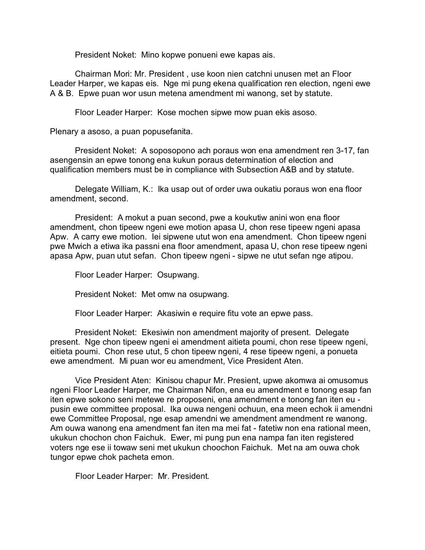President Noket: Mino kopwe ponueni ewe kapas ais.

Chairman Mori: Mr. President , use koon nien catchni unusen met an Floor Leader Harper, we kapas eis. Nge mi pung ekena qualification ren election, ngeni ewe A & B. Epwe puan wor usun metena amendment mi wanong, set by statute.

Floor Leader Harper: Kose mochen sipwe mow puan ekis asoso.

Plenary a asoso, a puan popusefanita.

President Noket: A soposopono ach poraus won ena amendment ren 3-17, fan asengensin an epwe tonong ena kukun poraus determination of election and qualification members must be in compliance with Subsection A&B and by statute.

Delegate William, K.: Ika usap out of order uwa oukatiu poraus won ena floor amendment, second.

President: A mokut a puan second, pwe a koukutiw anini won ena floor amendment, chon tipeew ngeni ewe motion apasa U, chon rese tipeew ngeni apasa Apw. A carry ewe motion. Iei sipwene utut won ena amendment. Chon tipeew ngeni pwe Mwich a etiwa ika passni ena floor amendment, apasa U, chon rese tipeew ngeni apasa Apw, puan utut sefan. Chon tipeew ngeni - sipwe ne utut sefan nge atipou.

Floor Leader Harper: Osupwang.

President Noket: Met omw na osupwang.

Floor Leader Harper: Akasiwin e require fitu vote an epwe pass.

President Noket: Ekesiwin non amendment majority of present. Delegate present. Nge chon tipeew ngeni ei amendment aitieta poumi, chon rese tipeew ngeni, eitieta poumi. Chon rese utut, 5 chon tipeew ngeni, 4 rese tipeew ngeni, a ponueta ewe amendment. Mi puan wor eu amendment, Vice President Aten.

Vice President Aten: Kinisou chapur Mr. Presient, upwe akomwa ai omusomus ngeni Floor Leader Harper, me Chairman Nifon, ena eu amendment e tonong esap fan iten epwe sokono seni metewe re proposeni, ena amendment e tonong fan iten eu pusin ewe committee proposal. Ika ouwa nengeni ochuun, ena meen echok ii amendni ewe Committee Proposal, nge esap amendni we amendment amendment re wanong. Am ouwa wanong ena amendment fan iten ma mei fat - fatetiw non ena rational meen, ukukun chochon chon Faichuk. Ewer, mi pung pun ena nampa fan iten registered voters nge ese ii towaw seni met ukukun choochon Faichuk. Met na am ouwa chok tungor epwe chok pacheta emon.

Floor Leader Harper: Mr. President.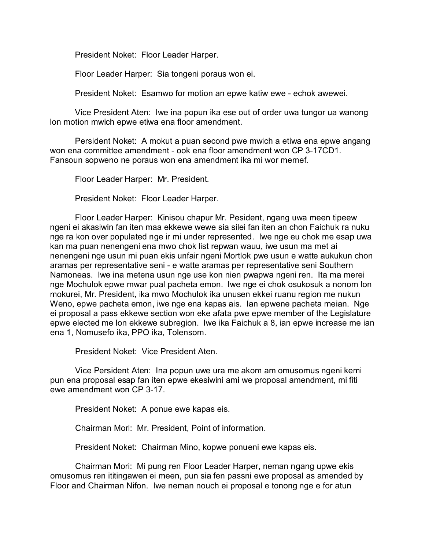President Noket: Floor Leader Harper.

Floor Leader Harper: Sia tongeni poraus won ei.

President Noket: Esamwo for motion an epwe katiw ewe - echok awewei.

Vice President Aten: Iwe ina popun ika ese out of order uwa tungor ua wanong lon motion mwich epwe etiwa ena floor amendment.

Persident Noket: A mokut a puan second pwe mwich a etiwa ena epwe angang won ena committee amendment - ook ena floor amendment won CP 3-17CD1. Fansoun sopweno ne poraus won ena amendment ika mi wor memef.

Floor Leader Harper: Mr. President.

President Noket: Floor Leader Harper.

Floor Leader Harper: Kinisou chapur Mr. Pesident, ngang uwa meen tipeew ngeni ei akasiwin fan iten maa ekkewe wewe sia silei fan iten an chon Faichuk ra nuku nge ra kon over populated nge ir mi under represented. Iwe nge eu chok me esap uwa kan ma puan nenengeni ena mwo chok list repwan wauu, iwe usun ma met ai nenengeni nge usun mi puan ekis unfair ngeni Mortlok pwe usun e watte aukukun chon aramas per representative seni - e watte aramas per representative seni Southern Namoneas. Iwe ina metena usun nge use kon nien pwapwa ngeni ren. Ita ma merei nge Mochulok epwe mwar pual pacheta emon. Iwe nge ei chok osukosuk a nonom lon mokurei, Mr. President, ika mwo Mochulok ika unusen ekkei ruanu region me nukun Weno, epwe pacheta emon, iwe nge ena kapas ais. Ian epwene pacheta meian. Nge ei proposal a pass ekkewe section won eke afata pwe epwe member of the Legislature epwe elected me lon ekkewe subregion. Iwe ika Faichuk a 8, ian epwe increase me ian ena 1, Nomusefo ika, PPO ika, Tolensom.

President Noket: Vice President Aten.

Vice Persident Aten: Ina popun uwe ura me akom am omusomus ngeni kemi pun ena proposal esap fan iten epwe ekesiwini ami we proposal amendment, mi fiti ewe amendment won CP 3-17.

President Noket: A ponue ewe kapas eis.

Chairman Mori: Mr. President, Point of information.

President Noket: Chairman Mino, kopwe ponueni ewe kapas eis.

Chairman Mori: Mi pung ren Floor Leader Harper, neman ngang upwe ekis omusomus ren ititingawen ei meen, pun sia fen passni ewe proposal as amended by Floor and Chairman Nifon. Iwe neman nouch ei proposal e tonong nge e for atun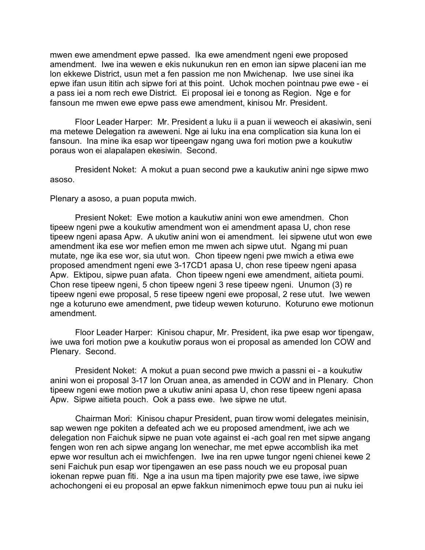mwen ewe amendment epwe passed. Ika ewe amendment ngeni ewe proposed amendment. Iwe ina wewen e ekis nukunukun ren en emon ian sipwe placeni ian me lon ekkewe District, usun met a fen passion me non Mwichenap. Iwe use sinei ika epwe ifan usun ititin ach sipwe fori at this point. Uchok mochen pointnau pwe ewe - ei a pass iei a nom rech ewe District. Ei proposal iei e tonong as Region. Nge e for fansoun me mwen ewe epwe pass ewe amendment, kinisou Mr. President.

Floor Leader Harper: Mr. President a luku ii a puan ii weweoch ei akasiwin, seni ma metewe Delegation ra aweweni. Nge ai luku ina ena complication sia kuna lon ei fansoun. Ina mine ika esap wor tipeengaw ngang uwa fori motion pwe a koukutiw poraus won ei alapalapen ekesiwin. Second.

President Noket: A mokut a puan second pwe a kaukutiw anini nge sipwe mwo asoso.

Plenary a asoso, a puan poputa mwich.

Presient Noket: Ewe motion a kaukutiw anini won ewe amendmen. Chon tipeew ngeni pwe a koukutiw amendment won ei amendment apasa U, chon rese tipeew ngeni apasa Apw. A ukutiw anini won ei amendment. Iei sipwene utut won ewe amendment ika ese wor mefien emon me mwen ach sipwe utut. Ngang mi puan mutate, nge ika ese wor, sia utut won. Chon tipeew ngeni pwe mwich a etiwa ewe proposed amendment ngeni ewe 3-17CD1 apasa U, chon rese tipeew ngeni apasa Apw. Ektipou, sipwe puan afata. Chon tipeew ngeni ewe amendment, aitieta poumi. Chon rese tipeew ngeni, 5 chon tipeew ngeni 3 rese tipeew ngeni. Unumon (3) re tipeew ngeni ewe proposal, 5 rese tipeew ngeni ewe proposal, 2 rese utut. Iwe wewen nge a koturuno ewe amendment, pwe tideup wewen koturuno. Koturuno ewe motionun amendment.

Floor Leader Harper: Kinisou chapur, Mr. President, ika pwe esap wor tipengaw, iwe uwa fori motion pwe a koukutiw poraus won ei proposal as amended lon COW and Plenary. Second.

President Noket: A mokut a puan second pwe mwich a passni ei - a koukutiw anini won ei proposal 3-17 lon Oruan anea, as amended in COW and in Plenary. Chon tipeew ngeni ewe motion pwe a ukutiw anini apasa U, chon rese tipeew ngeni apasa Apw. Sipwe aitieta pouch. Ook a pass ewe. Iwe sipwe ne utut.

Chairman Mori: Kinisou chapur President, puan tirow womi delegates meinisin, sap wewen nge pokiten a defeated ach we eu proposed amendment, iwe ach we delegation non Faichuk sipwe ne puan vote against ei -ach goal ren met sipwe angang fengen won ren ach sipwe angang lon wenechar, me met epwe accomblish ika met epwe wor resultun ach ei mwichfengen. Iwe ina ren upwe tungor ngeni chienei kewe 2 seni Faichuk pun esap wor tipengawen an ese pass nouch we eu proposal puan iokenan repwe puan fiti. Nge a ina usun ma tipen majority pwe ese tawe, iwe sipwe achochongeni ei eu proposal an epwe fakkun nimenimoch epwe touu pun ai nuku iei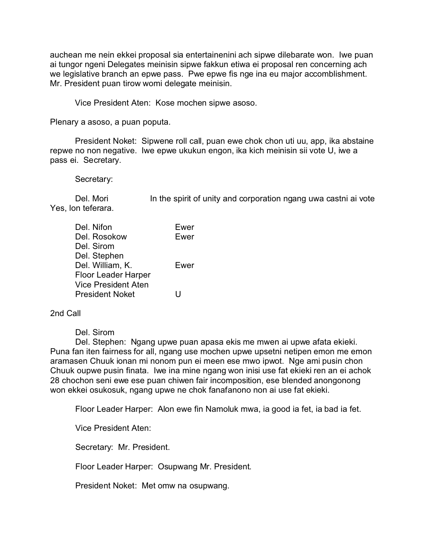auchean me nein ekkei proposal sia entertainenini ach sipwe dilebarate won. Iwe puan ai tungor ngeni Delegates meinisin sipwe fakkun etiwa ei proposal ren concerning ach we legislative branch an epwe pass. Pwe epwe fis nge ina eu major accomblishment. Mr. President puan tirow womi delegate meinisin.

Vice President Aten: Kose mochen sipwe asoso.

Plenary a asoso, a puan poputa.

President Noket: Sipwene roll call, puan ewe chok chon uti uu, app, ika abstaine repwe no non negative. Iwe epwe ukukun engon, ika kich meinisin sii vote U, iwe a pass ei. Secretary.

Secretary:

Del. Mori In the spirit of unity and corporation ngang uwa castni ai vote Yes, lon teferara.

| Del. Nifon                 | Ewer |
|----------------------------|------|
| Del. Rosokow               | Ewer |
| Del. Sirom                 |      |
| Del. Stephen               |      |
| Del. William, K.           | Ewer |
| <b>Floor Leader Harper</b> |      |
| <b>Vice President Aten</b> |      |
| <b>President Noket</b>     | ш    |

2nd Call

Del. Sirom

Del. Stephen: Ngang upwe puan apasa ekis me mwen ai upwe afata ekieki. Puna fan iten fairness for all, ngang use mochen upwe upsetni netipen emon me emon aramasen Chuuk ionan mi nonom pun ei meen ese mwo ipwot. Nge ami pusin chon Chuuk oupwe pusin finata. Iwe ina mine ngang won inisi use fat ekieki ren an ei achok 28 chochon seni ewe ese puan chiwen fair incomposition, ese blended anongonong won ekkei osukosuk, ngang upwe ne chok fanafanono non ai use fat ekieki.

Floor Leader Harper: Alon ewe fin Namoluk mwa, ia good ia fet, ia bad ia fet.

Vice President Aten:

Secretary: Mr. President.

Floor Leader Harper: Osupwang Mr. President.

President Noket: Met omw na osupwang.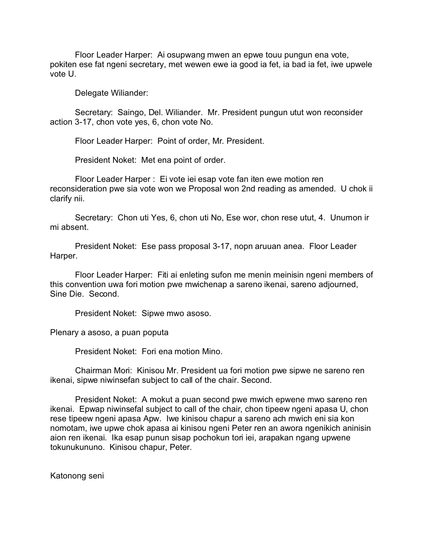Floor Leader Harper: Ai osupwang mwen an epwe touu pungun ena vote, pokiten ese fat ngeni secretary, met wewen ewe ia good ia fet, ia bad ia fet, iwe upwele vote U.

Delegate Wiliander:

Secretary: Saingo, Del. Wiliander. Mr. President pungun utut won reconsider action 3-17, chon vote yes, 6, chon vote No.

Floor Leader Harper: Point of order, Mr. President.

President Noket: Met ena point of order.

Floor Leader Harper : Ei vote iei esap vote fan iten ewe motion ren reconsideration pwe sia vote won we Proposal won 2nd reading as amended. U chok ii clarify nii.

Secretary: Chon uti Yes, 6, chon uti No, Ese wor, chon rese utut, 4. Unumon ir mi absent.

President Noket: Ese pass proposal 3-17, nopn aruuan anea. Floor Leader Harper.

Floor Leader Harper: Fiti ai enleting sufon me menin meinisin ngeni members of this convention uwa fori motion pwe mwichenap a sareno ikenai, sareno adjourned, Sine Die. Second.

President Noket: Sipwe mwo asoso.

Plenary a asoso, a puan poputa

President Noket: Fori ena motion Mino.

Chairman Mori: Kinisou Mr. President ua fori motion pwe sipwe ne sareno ren ikenai, sipwe niwinsefan subject to call of the chair. Second.

President Noket: A mokut a puan second pwe mwich epwene mwo sareno ren ikenai. Epwap niwinsefal subject to call of the chair, chon tipeew ngeni apasa U, chon rese tipeew ngeni apasa Apw. Iwe kinisou chapur a sareno ach mwich eni sia kon nomotam, iwe upwe chok apasa ai kinisou ngeni Peter ren an awora ngenikich aninisin aion ren ikenai. Ika esap punun sisap pochokun tori iei, arapakan ngang upwene tokunukununo. Kinisou chapur, Peter.

Katonong seni